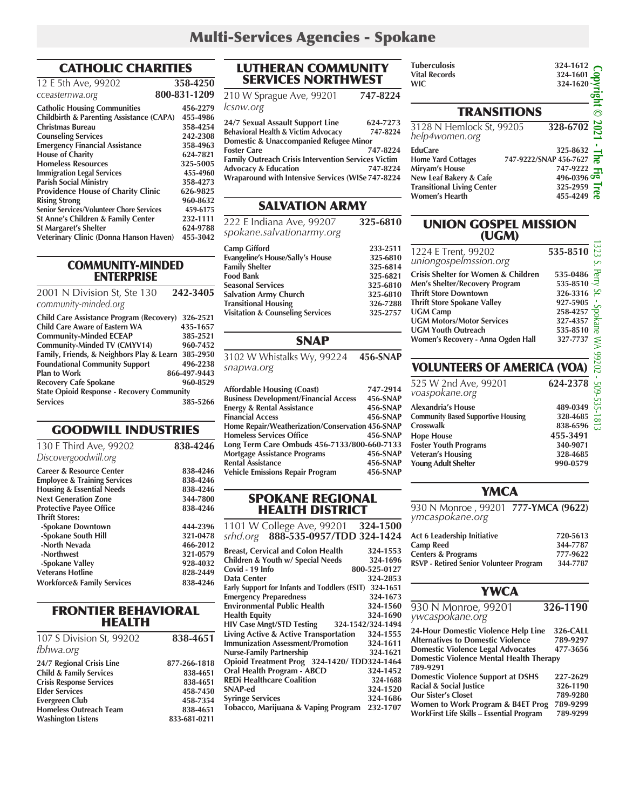# CATHOLIC CHARITIES

| 12 E 5th Ave, 99202                                 | 358-4250     |
|-----------------------------------------------------|--------------|
| cceasternwa.org                                     | 800-831-1209 |
| <b>Catholic Housing Communities</b>                 | 456-2279     |
| <b>Childbirth &amp; Parenting Assistance (CAPA)</b> | 455-4986     |
| Christmas Bureau                                    | 358-4254     |
| <b>Counseling Services</b>                          | 242-2308     |
| <b>Emergency Financial Assistance</b>               | 358-4963     |
| <b>House of Charity</b>                             | 624-7821     |
| <b>Homeless Resources</b>                           | 325-5005     |
| <b>Immigration Legal Services</b>                   | 455-4960     |
| <b>Parish Social Ministry</b>                       | 358-4273     |
| <b>Providence House of Charity Clinic</b>           | 626-9825     |
| <b>Rising Strong</b>                                | 960-8632     |
| <b>Senior Services/Volunteer Chore Services</b>     | 459-6175     |
| St Anne's Children & Family Center                  | 232-1111     |
| <b>St Margaret's Shelter</b>                        | 624-9788     |
| Veterinary Clinic (Donna Hanson Haven)              | 455-3042     |
|                                                     |              |

COMMUNITY-MINDED ENTERPRISE

2001 N Division St, Ste 130 **242-3405** *community-minded.org*

| <b>Child Care Assistance Program (Recovery)</b>    | 326-2521     |
|----------------------------------------------------|--------------|
| <b>Child Care Aware of Eastern WA</b>              | 435-1657     |
| <b>Community-Minded ECEAP</b>                      | 385-2521     |
| <b>Community-Minded TV (CMYV14)</b>                | 960-7452     |
| Family, Friends, & Neighbors Play & Learn 385-2950 |              |
| <b>Foundational Community Support</b>              | 496-2238     |
| <b>Plan to Work</b>                                | 866-497-9443 |
| <b>Recovery Cafe Spokane</b>                       | 960-8529     |
| <b>State Opioid Response - Recovery Community</b>  |              |
| <b>Services</b>                                    | 385-5266     |

# GOODWILL INDUSTRIES

| 130 E Third Ave, 99202<br>Discovergoodwill.org                                 | 838-4246             |
|--------------------------------------------------------------------------------|----------------------|
| <b>Career &amp; Resource Center</b><br><b>Employee &amp; Training Services</b> | 838-4246<br>838-4246 |
| <b>Housing &amp; Essential Needs</b><br><b>Next Generation Zone</b>            | 838-4246<br>344-7800 |
| <b>Protective Payee Office</b><br><b>Thrift Stores:</b>                        | 838-4246             |
| -Spokane Downtown                                                              | 444-2396             |
| -Spokane South Hill<br>-North Nevada                                           | 321-0478<br>466-2012 |
| -Northwest<br>-Spokane Valley                                                  | 321-0579<br>928-4032 |
| <b>Veterans Hotline</b>                                                        | 828-2449             |
| <b>Workforce&amp; Family Services</b>                                          | 838-4246             |

### FRONTIER BEHAVIORAL HEALTH

| 838-4651     |
|--------------|
|              |
| 877-266-1818 |
| 838-4651     |
| 838-4651     |
| 458-7450     |
| 458-7354     |
| 838-4651     |
| 833-681-0211 |
|              |

### LUTHERAN COMMUNITY SERVICES NORTHWEST

210 W Sprague Ave, 99201 **747-8224**  *lcsnw.org*  **24/7 Sexual Assault Support Line 624-7273**

**Behavioral Health & Victim Advocacy 747-8224 Domestic & Unaccompanied Refugee Minor Foster Care 747-8224 Family Outreach Crisis Intervention Services Victim Advocacy & Education 747-8224 Wraparound with Intensive Services (WISe 747-8224**

### SALVATION ARMY

| 222 E Indiana Ave, 99207<br>spokane.salvationarmy.org | 325-6810 |
|-------------------------------------------------------|----------|
| <b>Camp Gifford</b>                                   | 233-2511 |
| <b>Evangeline's House/Sally's House</b>               | 325-6810 |
| <b>Family Shelter</b>                                 | 325-6814 |
| <b>Food Bank</b>                                      | 325-6821 |
| <b>Seasonal Services</b>                              | 325-6810 |
| <b>Salvation Army Church</b>                          | 325-6810 |
| <b>Transitional Housing</b>                           | 326-7288 |
| <b>Visitation &amp; Counseling Services</b>           | 325-2757 |

### SNAP

3102 W Whistalks Wy, 99224 **456-SNAP** *snapwa.org*

| <b>Affordable Housing (Coast)</b>                | 747-2914 |
|--------------------------------------------------|----------|
| <b>Business Development/Financial Access</b>     | 456-SNAP |
| <b>Energy &amp; Rental Assistance</b>            | 456-SNAP |
| <b>Financial Access</b>                          | 456-SNAP |
| Home Repair/Weatherization/Conservation 456-SNAP |          |
| <b>Homeless Services Office</b>                  | 456-SNAP |
| Long Term Care Ombuds 456-7133/800-660-7133      |          |
| <b>Mortgage Assistance Programs</b>              | 456-SNAP |
| <b>Rental Assistance</b>                         | 456-SNAP |
| <b>Vehicle Emissions Repair Program</b>          | 456-SNAP |

#### SPOKANE REGIONAL HEALTH DISTRICT

1101 W College Ave, 99201 **324-1500** *srhd.org* **888-535-0957/TDD 324-1424 Breast, Cervical and Colon Health 324-1553 Children & Youth w/ Special Needs 324-1696**

| Covid - 19 Info                               | 800-525-0127      |
|-----------------------------------------------|-------------------|
| Data Center                                   | 324-2853          |
| Early Support for Infants and Toddlers (ESIT) | 324-1651          |
| <b>Emergency Preparedness</b>                 | 324-1673          |
| <b>Environmental Public Health</b>            | 324-1560          |
| <b>Health Equity</b>                          | 324-1690          |
| <b>HIV Case Mngt/STD Testing</b>              | 324-1542/324-1494 |
| Living Active & Active Transportation         | 324-1555          |
| <b>Immunization Assessment/Promotion</b>      | 324-1611          |
| <b>Nurse-Family Partnership</b>               | 324-1621          |
| Opioid Treatment Prog 324-1420/TDD324-1464    |                   |
| Oral Health Program - ABCD                    | 324-1452          |
| <b>REDi Healthcare Coalition</b>              | 324-1688          |
| <b>SNAP-ed</b>                                | 324-1520          |
| <b>Syringe Services</b>                       | 324-1686          |
| Tobacco, Marijuana & Vaping Program           | 232-1707          |
|                                               |                   |

| пилегениям<br><b>Vital Records</b><br><b>WIC</b>                                                                                                      | $327 - 1012$<br>324-1601<br>324-1620<br>pght                                                           |                                        |
|-------------------------------------------------------------------------------------------------------------------------------------------------------|--------------------------------------------------------------------------------------------------------|----------------------------------------|
| <b>TRANSITIONS</b>                                                                                                                                    |                                                                                                        | ∩                                      |
| 3128 N Hemlock St, 99205<br>help4women.org                                                                                                            | $\frac{328-6702}{22}$                                                                                  |                                        |
| <b>EduCare</b><br><b>Home Yard Cottages</b><br>Miryam's House<br>New Leaf Bakery & Cafe<br><b>Transitional Living Center</b><br><b>Women's Hearth</b> | 325-8632<br>747-9222/SNAP 456-7627<br>747-9222<br>$496 - 0396$ and<br>325-2959<br><b>e</b><br>455-4249 | - The<br>$\overline{\phantom{a}}$<br>₹ |

### UNION GOSPEL MISSION (UGM)

| 1224 E Trent, 99202<br>uniongospelmssion.org                                                                                                                                                                                                                                     | 535-8510                                                                                                            |
|----------------------------------------------------------------------------------------------------------------------------------------------------------------------------------------------------------------------------------------------------------------------------------|---------------------------------------------------------------------------------------------------------------------|
| <b>Crisis Shelter for Women &amp; Children</b><br>Men's Shelter/Recovery Program<br><b>Thrift Store Downtown</b><br><b>Thrift Store Spokane Valley</b><br><b>UGM Camp</b><br><b>UGM Motors/Motor Services</b><br><b>UGM Youth Outreach</b><br>Women's Recovery - Anna Ogden Hall | 535-0486<br>535-8510<br>5 <sup>1</sup><br>326-3316<br>927-5905<br>258-4257<br>8<br>327-4357<br>535-8510<br>327-7737 |
| <b>VOLUNTEERS OF AMERICA (VOA)</b><br>525 W 2nd Ave, 99201<br>voaspokane.org                                                                                                                                                                                                     | 624-2378                                                                                                            |
| <b>Alexandria's House</b><br><b>Community Based Supportive Housing</b><br>Crosswalk                                                                                                                                                                                              | 489-0349<br>328-4685<br>838-6596                                                                                    |

# VOLUNTEERS OF AMERICA (VOA)

| 525 W 2nd Ave, 99201<br>voaspokane.org    | 624-2378 |
|-------------------------------------------|----------|
| <b>Alexandria's House</b>                 | 489-0349 |
| <b>Community Based Supportive Housing</b> | 328-4685 |
| Crosswalk                                 | 838-6596 |
| <b>Hope House</b>                         | 455-3491 |
| <b>Foster Youth Programs</b>              | 340-9071 |
| <b>Veteran's Housing</b>                  | 328-4685 |
| <b>Young Adult Shelter</b>                | 990-0579 |

### **YMCA**

930 N Monroe , 99201 **777-YMCA (9622)** *ymcaspokane.org* 

| Act 6 Leadership Initiative                    | 720-5613 |
|------------------------------------------------|----------|
| <b>Camp Reed</b>                               | 344-7787 |
| <b>Centers &amp; Programs</b>                  | 777-9622 |
| <b>RSVP - Retired Senior Volunteer Program</b> | 344-7787 |

### **YWCA**

| 930 N Monroe, 99201<br>ywcaspokane.org                                                                                                                                        | 326-1190                         |
|-------------------------------------------------------------------------------------------------------------------------------------------------------------------------------|----------------------------------|
| 24-Hour Domestic Violence Help Line<br><b>Alternatives to Domestic Violence</b><br><b>Domestic Violence Legal Advocates</b><br><b>Domestic Violence Mental Health Therapy</b> | 326-CALL<br>789-9297<br>477-3656 |
| 789-9291<br><b>Domestic Violence Support at DSHS</b><br>Racial & Social Justice<br><b>Our Sister's Closet</b>                                                                 | 227-2629<br>326-1190<br>789-9280 |
| Women to Work Program & B4ET Prog<br>WorkFirst Life Skills - Essential Program                                                                                                | 789-9299<br>789-9299             |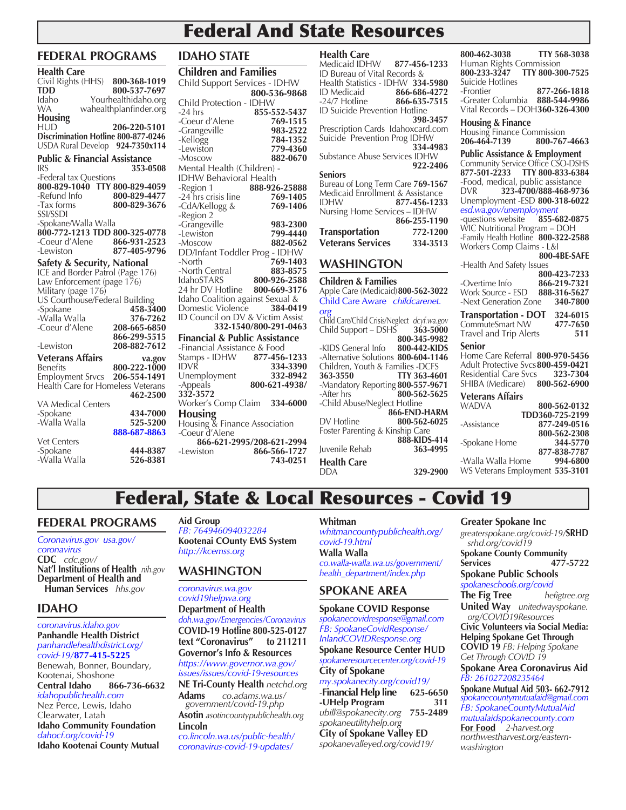# Federal And State Resources

# **FEDERAL PROGRAMS**

| Health Care                                                             |                              |
|-------------------------------------------------------------------------|------------------------------|
| Civil Rights (HHS) 800-368-1019                                         |                              |
| <b>TDD</b>                                                              | 800-537-7697                 |
| Idaho                                                                   | Yourhealthidaho.org          |
| WA                                                                      | wahealthplanfinder.org       |
| Housing                                                                 |                              |
| HUD                                                                     | 206-220-5101                 |
| Discrimination Hotline 800-877-0246                                     |                              |
| USDA Rural Develop 924-7350x114                                         |                              |
| <b>Public &amp; Financial Assistance</b>                                |                              |
| <b>IRS</b>                                                              | 353-0508                     |
| -Federal tax Questions                                                  |                              |
| 800-829-1040 TTY 800-829-4059<br>-Refund Info                           |                              |
| -Tax forms                                                              | 800-829-4477<br>800-829-3676 |
| SSI/SSDI                                                                |                              |
|                                                                         |                              |
| -Spokane/Walla Walla<br><b>800-772-1213 TDD 800-325-0778</b>            |                              |
| -Coeur d'Alene                                                          | 866-931-2523                 |
| -Lewiston                                                               | 877-405-9796                 |
|                                                                         |                              |
| <b>Safety &amp; Security, National ICE and Border Patrol (Page 176)</b> |                              |
| Law Enforcement (page 176)                                              |                              |
| Military (page 176)                                                     |                              |
| US Courthouse/Federal Building                                          |                              |
| -Spokane                                                                | 458-3400                     |
| -Walla Walla                                                            | 376-7262                     |
| -Coeur d'Alene                                                          | 208-665-6850                 |
|                                                                         | 866-299-5515                 |
| -Lewiston                                                               | 208-882-7612                 |
| <b>Veterans Affairs</b>                                                 | va.gov                       |
| Benefits                                                                | 800-222-1000                 |
| <b>Employment Srvcs</b><br>Health Care for Homeless Veterans            | 206-554-1491                 |
|                                                                         | 462-2500                     |
| <b>VA Medical Centers</b>                                               |                              |
| -Spokane                                                                | 434-7000                     |
| -Walla Walla                                                            | 525-5200                     |
|                                                                         | 888-687-8863                 |
| Vet Centers                                                             |                              |
| -Spokane                                                                | 444-8387                     |
| -Walla Walla                                                            | 526-8381                     |

# **IDAHO STATE**

| <b>Children and Families</b>                          |                       | ı<br>Į                                                        |
|-------------------------------------------------------|-----------------------|---------------------------------------------------------------|
| Child Support Services - IDHW                         |                       | I                                                             |
|                                                       | 800-536-9868          | I                                                             |
| Child Protection - IDHW                               |                       |                                                               |
| $-24$ hrs                                             | 855-552-5437          | l                                                             |
| -Coeur d'Alene                                        | 769-1515              |                                                               |
|                                                       | 983-2522              | l                                                             |
| -Grangeville<br>-Kellogg                              | 784-1352              | í                                                             |
| -Lewiston                                             | 779-4360              |                                                               |
| -Moscow                                               | 882-0670              | í                                                             |
| Mental Health (Children) -                            |                       |                                                               |
| <b>IDHW Behavioral Health</b>                         |                       | ۱.<br>ا                                                       |
| -Region 1                                             | 888-926-25888         |                                                               |
| -24 hrs crisis line                                   | 769-1405              | l                                                             |
|                                                       | 769-1406              | l<br>Ì                                                        |
| -CdA/Kellogg &<br>-Region 2                           |                       |                                                               |
| -Grangeville                                          | 983-2300              |                                                               |
| -Lewiston                                             | 799-4440              |                                                               |
| -Moscow                                               | 882-0562              |                                                               |
| DD/Infant Toddler Prog - IDHW                         |                       |                                                               |
| -North                                                | 769-1403              |                                                               |
| -North Central                                        | 883-8575              |                                                               |
| IdahoSTARS                                            | 800-926-2588          | l                                                             |
| 24 hr DV Hotline                                      | 800-669-3176          | $\overline{1}$                                                |
| Idaho Coalition against Sexual &                      |                       | (                                                             |
| Domestic Violence<br>ID Council on DV & Victim Assist | 384-0419              | $\overline{\mathbf{C}}$                                       |
|                                                       | 332-1540/800-291-0463 | (                                                             |
|                                                       |                       | $\overline{\mathcal{L}}$                                      |
| <b>Financial &amp; Public Assistance</b>              |                       |                                                               |
| -Financial Assistance & Food                          |                       |                                                               |
| Stamps - IDHW 877-456-1233<br>idvr                    | 334-3390              |                                                               |
| Unemployment                                          | 332-8942              |                                                               |
|                                                       | 800-621-4938/         |                                                               |
| -Appeals<br><b>332-3572</b>                           |                       |                                                               |
| Worker's Comp Claim 334-6000                          |                       | $\frac{1}{2}$ . $\frac{1}{2}$ . $\frac{1}{2}$ . $\frac{1}{2}$ |
| Housing                                               |                       |                                                               |
| Housing & Finance Association                         |                       | ļ                                                             |
| -Coeur d'Alene                                        |                       | I                                                             |
| 866-621-2995/208-621-2994                             |                       |                                                               |
| -Lewiston                                             | 866-566-1727          | J                                                             |
|                                                       | 743-0251              |                                                               |
|                                                       |                       |                                                               |

**Health Care** Medicaid IDHW **877-456-1233**  ID Bureau of Vital Records & Health Statistics - IDHW **334-5980** ID Medicaid **866-686-4272** -24/7 Hotline **866-635-7515** ID Suicide Prevention Hotline **398-3457**  Prescription Cards Idahoxcard.com Suicide Prevention Prog IDHW **334-4983** Substance Abuse Services IDHW **922-2406 Seniors** Bureau of Long Term Care **769-1567** Medicaid Enrollment & Assistance IDHW **877-456-1233** Nursing Home Services – IDHW **866-255-1190 Transportation 772-1200 Veterans Services 334-3513 WASHINGTON Children & Families**

Apple Care (Medicaid)**800-562-3022** Child Care Aware *childcarenet. org* Child Care/Child Crisis/Neglect *dcyf.wa.gov* Child Support – DSHS **363-5000 800-345-9982** -KIDS General Info **800-442-KIDS** -Alternative Solutions **800-604-1146** Children, Youth & Families -DCFS **363-3550 TTY 363-4601** -Mandatory Reporting **800-557-9671** -After hrs **800-562-5625** -Child Abuse/Neglect Hotline  **866-END-HARM** DV Hotline **800-562-6025** Foster Parenting & Kinship Care  **888-KIDS-414 Juvenile Rehab Health Care** DDA **329-2900**

**800-462-3038 TTY 568-3038** Human Rights Commission<br>800-233-3247 TTY 800-30 **800-233-3247 TTY 800-300-7525** Suicide Hotlines<br>-Frontier -Frontier **877-266-1818 -Greater Columbia** Vital Records – DOH**360-326-4300**

### **Housing & Finance**

Housing Finance Commission **206-464-7139 800-767-4663**

**Public Assistance & Employment** Community Service Office CSO-DSHS **877-501-2233 TTY 800-833-6384** -Food, medical, public assistance<br>DVR 323-4700/888-468-973 DVR **323-4700/888-468-9736** Unemployment -ESD **800-318-6022**  *esd.wa.gov/unemployment* -questions website WIC Nutritional Program – DOH -Family Health Hotline **800-322-2588** Workers Comp Claims - L&I  **800-4BE-SAFE** -Health And Safety Issues  **800-423-7233** -Overtime Info **866-219-7321** Work Source - ESD **888-316-5627** -Next Generation Zone

#### **Transportation - DOT 324-6015** CommuteSmart NW Travel and Trip Alerts **511**

#### **Senior**

Home Care Referral **800-970-5456** Adult Protective Svcs**800-459-0421 Residential Care Svcs** SHIBA (Medicare) **800-562-6900**

| Veterans Affairs |  |
|------------------|--|
|------------------|--|

| WADVA             | 800-562-0132                    |
|-------------------|---------------------------------|
|                   | TDD360-725-2199                 |
| -Assistance       | 877-249-0516                    |
|                   | 800-562-2308                    |
| -Spokane Home     | 344-5770                        |
|                   | 877-838-7787                    |
| -Walla Walla Home | 994-6800                        |
|                   | WS Veterans Employment 535-3101 |
|                   |                                 |

# Federal, State & Local Resources - Covid 19

# **FEDERAL PROGRAMS**

*Coronavirus.gov usa.gov/ coronavirus* **CDC** *cdc.gov/* **Nat'l Institutions of Health** *nih.gov* **Department of Health and Human Services** *hhs.gov*

# **IDAHO**

*coronavirus.idaho.gov* **Panhandle Health District** *panhandlehealthdistrict.org/ covid-19/***877-415-5225** Benewah, Bonner, Boundary, Kootenai, Shoshone<br>Central Idaho 8 **Central Idaho 866-736-6632** *idahopublichealth.com* Nez Perce, Lewis, Idaho Clearwater, Latah **Idaho Community Foundation** *dahocf.org/covid-19* **Idaho Kootenai County Mutual** 

**Aid Group**  *FB: 764946094032284* **Kootenai COunty EMS System** *http://kcemss.org*

# **WASHINGTON**

*coronavirus.wa.gov covid19helpwa.org* **Department of Health** *doh.wa.gov/Emergencies/Coronavirus*  **COVID-19 Hotline 800-525-0127** text "Coronavirus" **Governor's Info & Resources** *https://www.governor.wa.gov/ issues/issues/covid-19-resources*

**NE Tri-County Health** *netchd.org* **Adams** *co.adams.wa.us/ government/covid-19.php* **Asotin** *asotincountypublichealth.org* **Lincoln**

*co.lincoln.wa.us/public-health/ coronavirus-covid-19-updates/*

#### **Whitman**

*whitmancountypublichealth.org/ covid-19.html* **Walla Walla**  *co.walla-walla.wa.us/government/ health\_department/index.php*

# **SPOKANE AREA**

**Spokane COVID Response**

*spokanecovidresponse@gmail.com FB: SpokaneCovidResponse/ InlandCOVIDResponse.org* **Spokane Resource Center HUD** *spokaneresourcecenter.org/covid-19*  **City of Spokane** 

# *my.spokanecity.org/covid19/*

-**Financial Help line 625-6650 -UHelp Program** *ubill@spokanecity.org* **755-2489**  *spokaneutilityhelp.org* **City of Spokane Valley ED** *spokanevalleyed.org/covid19/*

### **Greater Spokane Inc**

*greaterspokane.org/covid-19/***SRHD** *srhd.org/covid19* **Spokane County Community Services 477-5722 Spokane Public Schools** *spokaneschools.org/covid*

**The Fig Tree** *hefigtree.org* **United Way** *unitedwayspokane.*

*org/COVID19Resources* **Civic Volunteers via Social Media: Helping Spokane Get Through COVID 19** *FB: Helping Spokane Get Through COVID 19* 

**Spokane Area Coronavirus Aid** *FB: 261027208235464*

**Spokane Mutual Aid 503- 662-7912** *spokanecountymutualaid@gmail.com FB: SpokaneCountyMutualAid mutualaidspokanecounty.com* **For Food** *2-harvest.org northwestharvest.org/easternwashington*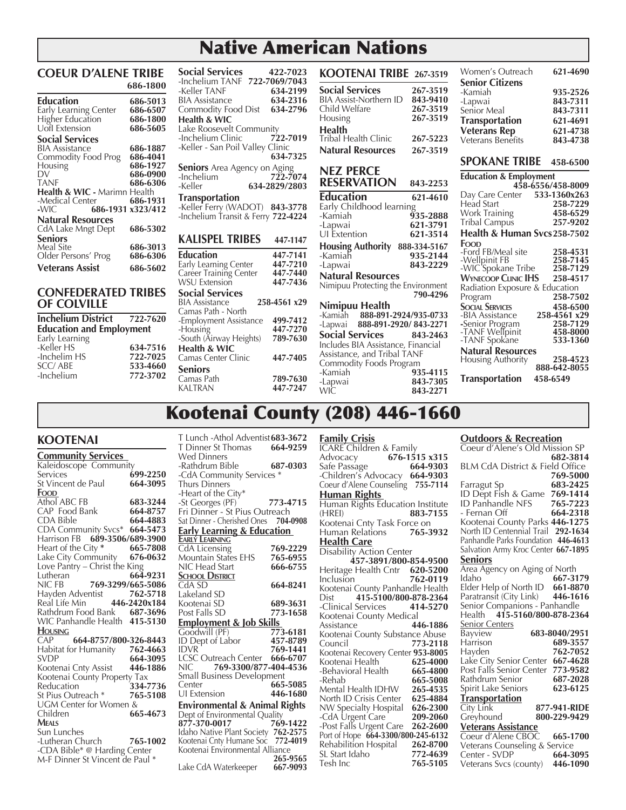# Native American Nations

#### **COEUR D'ALENE TRIBE 686-1800**

| <b>Education</b>                        | 686-5013          |
|-----------------------------------------|-------------------|
| <b>Early Learning Center</b>            | 686-6507          |
| Higher Education                        | 686-1800          |
| Uofl Extension                          | 686-5605          |
| <b>Social Services</b>                  |                   |
| BIA Assistance                          | 686-1887          |
| Commodity Food Prog                     | 686-4041          |
| Housing                                 | 686-1927          |
| Dν                                      | 686-0900          |
| <b>TANF</b>                             | 686-6306          |
| <b>Health &amp; WIC - Marimn Health</b> |                   |
| -Medical Center                         | 686-1931          |
| -WIC                                    | 686-1931 x323/412 |
| <b>Natural Resources</b>                |                   |
| CdA Lake Mngt Dept                      | 686-5302          |
| Seniors                                 |                   |
| Meal Site                               | 686-3013          |
| Older Persons' Prog                     | 686-6306          |
| <b>Veterans Assist</b>                  | 686-5602          |

#### **CONFEDERATED TRIBES OF COLVILLE**

| <b>Inchelium District</b>       | 722-7620 |
|---------------------------------|----------|
| <b>Education and Employment</b> |          |
| Early Learning                  |          |
| -Keller HS                      | 634-7516 |
| -Inchelim HS                    | 722-7025 |
| <b>SCC/ABE</b>                  | 533-4660 |
| -Inchelium                      | 772-3702 |

| -Inchelium TANF -                                                                         | 722-7069/7043        |
|-------------------------------------------------------------------------------------------|----------------------|
| -Keller TANF                                                                              | 634-2199             |
| <b>BIA Assistance</b>                                                                     | 634-2316             |
| Commodity Food Dist                                                                       | 634-2796             |
| <b>Health &amp; WIC</b>                                                                   |                      |
| Lake Roosevelt Community                                                                  |                      |
| -Inchelium Clinic                                                                         | 722-7019             |
| -Keller - San Poil Valley Clinic                                                          |                      |
|                                                                                           | 634-7325             |
| <b>Seniors</b> Area Agency on Aging                                                       |                      |
| -Inchelium                                                                                | 722-7074             |
| -Keller                                                                                   | 634-2829/2803        |
|                                                                                           |                      |
|                                                                                           |                      |
| Transportation<br>-Keller Ferry (WADOT) 843-3778                                          |                      |
| -Inchelium Transit & Ferry 722-4224                                                       |                      |
|                                                                                           |                      |
| <b>KALISPEL TRIBES</b>                                                                    | 447-1147             |
| Education                                                                                 | 447-7141             |
|                                                                                           | 447-7210             |
|                                                                                           | 447-7440             |
|                                                                                           | 447-7436             |
| Social Services                                                                           |                      |
| Early Learning Center<br>Career Training Center<br>WSU Extension<br><b>BIA Assistance</b> | 258-4561 x29         |
| Camas Path - North                                                                        |                      |
| -Employment Assistance                                                                    | 499-7412             |
| -Housing                                                                                  | 447-7270             |
| -South (Airway Heights)                                                                   | 789-7630             |
| <b>Health &amp; WIC</b>                                                                   |                      |
| Camas Center Clinic                                                                       | 447-7405             |
| Seniors                                                                                   |                      |
| Camas Path<br><b>KALTRAN</b>                                                              | 789-7630<br>447-7247 |

**Social Services 422-7023** 

| KOOTENAI TRIBE 267-3519                                 |                      | Women's Outreach                             | 621-4690             |
|---------------------------------------------------------|----------------------|----------------------------------------------|----------------------|
| <b>Social Services</b><br><b>BIA Assist-Northern ID</b> | 267-3519<br>843-9410 | <b>Senior Citizens</b><br>-Kamiah<br>-Lapwai | 935-2526<br>843-7311 |
| Child Welfare                                           | 267-3519             | Senior Meal                                  | 843-7311             |
| Housing                                                 | 267-3519             | <b>Transportation</b>                        | 621-4691             |
| <b>Health</b><br><b>Tribal Health Clinic</b>            | 267-5223             | <b>Veterans Rep</b>                          | 621-4738             |
|                                                         |                      | Veterans Benefits                            | 843-4738             |
| <b>Natural Resources</b>                                | 267-3519             | <b>SPOKANE TRIBE</b>                         | 458-6500             |
| <b>NEZ PERCE</b>                                        |                      |                                              |                      |
| <b>RESERVATION</b>                                      | 843-2253             | <b>Education &amp; Employment</b>            | 458-6556/458-8009    |
| <b>Education</b>                                        | 621-4610             | Day Care Center                              | 533-1360x263         |
| Early Childhood learning                                |                      | <b>Head Start</b>                            | 258-7229             |
| -Kamiah                                                 | 935-2888             | Work Training                                | 458-6529<br>257-9202 |
| -Lapwai                                                 | 621-3791             | Tribal Campus<br>Health & Human Svcs258-7502 |                      |
| UI Extention                                            | 621-3514             | Food                                         |                      |
| <b>Housing Authority</b>                                | 888-334-5167         | -Ford FB/Meal site                           | 258-4531             |
| -Kamiaĥ<br>-Lapwai                                      | 935-2144<br>843-2229 | -Wellpinit FB                                | 258-7145             |
| <b>Natural Resources</b>                                |                      | -WIC'Spokane Tribe                           | 258-7129             |
| Nimipuu Protecting the Environment                      |                      | <b>WYNECOOP CLINIC IHS</b>                   | 258-4517             |
|                                                         | 790-4296             | Radiation Exposure & Education<br>Program    | 258-7502             |
| Nimipuu Health                                          |                      | <b>SOCIAL SERVICES</b>                       | 458-6500             |
| -Kamiah 888-891-2924/935-0733                           |                      | -BIA Assistance                              | 258-4561 x29         |
| -Lapwai 888-891-2920/843-2271                           |                      | -Senior Program                              | 258-7129             |
| <b>Social Services</b>                                  | 843-2463             | -TANF Wellpinit<br>-TANF Spokane             | 458-8000<br>533-1360 |
| Includes BIA Assistance, Financial                      |                      | <b>Natural Resources</b>                     |                      |
| Assistance, and Tribal TANF                             |                      | Housing Authority                            | 258-4523             |
| Commodity Foods Program<br>-Kamiah                      | 935-4115             |                                              | 888-642-8055         |
| -Lapwai                                                 | 843-7305             | <b>Transportation</b>                        | 458-6549             |
| <b>WIC</b>                                              | 843-2271             |                                              |                      |

| <b>Senior Citizens</b>                              |              |
|-----------------------------------------------------|--------------|
| -Kamiah                                             | 935-2526     |
|                                                     | 843-7311     |
| -Lapwai                                             |              |
| Senior Meal                                         | 843-7311     |
| <b>Transportation</b>                               | 621-4691     |
| <b>Veterans Rep</b>                                 | 621-4738     |
| Veterans Benefits                                   | 843-4738     |
|                                                     |              |
| <b>SPOKANE TRIBE</b>                                | 458-6500     |
|                                                     |              |
| Education & Employment<br>458-6556/458-8009         |              |
| Day Care Center 533-1360x263                        |              |
| Head Start                                          | 258-7229     |
|                                                     | 458-6529     |
| <b>Work Training</b>                                |              |
| Tribal Campus                                       | 257-9202     |
| Health & Human Svcs258-7502                         |              |
| Food                                                |              |
| -Ford FB/Meal site                                  | 258-4531     |
|                                                     | 258-7145     |
| -Wellpinit FB<br>-WIC Spokane Tribe                 | 258-7129     |
| <b>WYNECOOP CLINIC IHS</b>                          | 258-4517     |
| Radiation Exposure & Education                      |              |
| Program                                             | 258-7502     |
| <b>SOCIAL SERVICES</b>                              | 458-6500     |
| -BIA Assistance                                     | 258-4561 x29 |
|                                                     | 258-7129     |
| -Senior Program<br>-TANF Wellpinit<br>-TANF Spokane | 458-8000     |
|                                                     | 533-1360     |
|                                                     |              |
| <b>Natural Resources</b>                            | 258-4523     |
| Housing Authority                                   | 888-642-8055 |
|                                                     |              |
| <b>Transportation</b>                               | 458-6549     |

# Kootenai County (208) 446-1660

# **KOOTENAI**

| <b>Community Services</b><br>Kaleidoscope Community           |          |
|---------------------------------------------------------------|----------|
|                                                               |          |
| Services                                                      | 699-2250 |
| St Vincent de Paul                                            | 664-3095 |
| Food                                                          |          |
| Athol ABC FB                                                  | 683-3244 |
| CAP Food Bank                                                 | 664-8757 |
| CDA Bible                                                     | 664-4883 |
|                                                               |          |
| CDA Community Svcs* 664-5473<br>Harrison FB 689-3506/689-3900 |          |
| Heart of the City <sup>*</sup>                                | 665-7808 |
| Lake City Community 676<br>Love Pantry – Christ the King      | 676-0632 |
|                                                               |          |
| Lutheran                                                      | 664-9231 |
| 769-3299/665-5086<br>nic fb                                   |          |
| Hayden Adventist 762-5718<br>Real Life Min 446-2420x184       |          |
|                                                               |          |
| Rathdrum Food Bank 687-3696<br>WIC Panhandle Health 415-5130  |          |
|                                                               |          |
| <b>HOUSING</b>                                                |          |
| 664-8757/800-326-8443<br>CAP                                  |          |
| Habitat for Humanity 762-4663                                 |          |
| <b>SVDP</b>                                                   | 664-3095 |
| Kootenai Cnty Assist                                          | 446-1886 |
| Kootenai County Property Tax                                  |          |
| Reducation                                                    | 334-7736 |
| St Pius Outreach *                                            | 765-5108 |
| UGM Center for Women &                                        |          |
| Children                                                      | 665-4673 |
| <b>MEALS</b>                                                  |          |
| Sun Lunches                                                   |          |
| -Lutheran Church                                              | 765-1002 |
| -CDA Bible* @ Harding Center                                  |          |
| M-F Dinner St Vincent de Paul *                               |          |

T Lunch -Athol Adventist**683-3672 T Dinner St Thomas** Wed Dinners -Rathdrum Bible **687-0303** -CdA Community Services \* Thurs Dinners -Heart of the City\* -St Georges (PF) **773-4715** Fri Dinner - St Pius Outreach Sat Dinner - Cherished Ones **704-0908 Early Learning & Education Early Learning** CdA Licensing **769-2229** Mountain States EHS 765-6955<br>NIC Head Start 666-6755 **NIC Head Start School District** CdA SD **664-8241** Lakeland SD Kootenai SD **689-3631** Post Falls SD **Employment & Job Skills**<br> **Goodwill (PF)** 773-6181 Goodwill (PF) **773-6181 ID Dept of Labor**<br>**IDVR** 769-1441<br>666-6707 LCSC Outreach Center<br>**NIC** 769-3300/877 NIC **769-3300/877-404-4536** Small Business Development<br>Center 665 665-5085<br>446-1680 UI Extension **446-1680 Environmental & Animal Rights** Dept of Environmental Quality<br>877-370-0017 769-1422 **877-370-0017 769-1422**  Idaho Native Plant Society **762-2575** Kootenai Cnty Humane Soc **772-4019** Kootenai Environmental Alliance **265-9565**

Lake CdA Waterkeeper **667-9093**

#### **Family Crisis**

ICARE Children & Family<br>Advocacy 676-15 Advocacy **676-1515 x315** Safe Passage -Children's Advocacy **664-9303** Coeur d'Alene Counseling **755-7114 Human Rights**  Human Rights Education Institute (HREI) **883-7155** Kootenai Cnty Task Force on<br>Human Relations 765-3932 **Human Relations Health Care** Disability Action Center **457-3891/800-854-9500** Heritage Health Cntr **620-5200** Inclusion **762-0119** Kootenai County Panhandle Health Dist **415-5100/800-878-2364**  $-$ Clinical Services Kootenai County Medical Assistance **446-1886** Kootenai County Substance Abuse<br>Council 773-2118 Council **773-2118** Kootenai Recovery Center **953-8005** Kootenai Health -Behavioral Health **665-4800** -Rehab **665-5008** Mental Health IDHW **265-4535** North ID Crisis Center **625-4884** NW Specialty Hospital **626-2300** -CdA Urgent Care **209-2060** -Post Falls Urgent Care **262-2600** Port of Hope **664-3300/800-245-6132** Rehabilition Hospital **262-8700** SL Start Idaho<br>Tesh Inc

Tesh Inc **765-5105**

# **Outdoors & Recreation**

| Coeur d'Alene's Old Mission SP                                                                                              |               |
|-----------------------------------------------------------------------------------------------------------------------------|---------------|
|                                                                                                                             | 682-3814      |
| <b>BLM CdA District &amp; Field Office</b>                                                                                  |               |
|                                                                                                                             | 769-5000      |
| Farragut Sp<br>ID Dept Fish & Game 769-1414                                                                                 |               |
|                                                                                                                             |               |
| <b>ID Panhandle NFS</b>                                                                                                     | 765-7223      |
| - Fernan Off                                                                                                                | 664-2318      |
| Kootenai County Parks 446-1275<br>North ID Centennial Trail 292-1634                                                        |               |
|                                                                                                                             |               |
| Panhandle Parks Foundation 446-4613                                                                                         |               |
| Salvation Army Kroc Center 667-1895                                                                                         |               |
| Seniors                                                                                                                     |               |
| Area Agency on Aging of North                                                                                               |               |
| Idaho                                                                                                                       | 667-3179      |
|                                                                                                                             |               |
|                                                                                                                             |               |
| Elder Help of North ID<br>Paratransit (City Link) 446-1616<br>Senior Companions - Panhandle<br>Health 415-5160/800-878-2364 |               |
|                                                                                                                             |               |
| <b>Senior Centers</b>                                                                                                       |               |
| Bayview                                                                                                                     | 683-8040/2951 |
| Harrison                                                                                                                    | 689-3557      |
| Hayden                                                                                                                      | 762-7052      |
| Lake City Senior Center                                                                                                     | 667-4628      |
| Post Fall's Senior Center                                                                                                   | 773-9582      |
| Rathdrum Senior                                                                                                             | 687-2028      |
| Spirit Lake Seniors                                                                                                         | 623-6125      |
|                                                                                                                             |               |
| <b>Transportation</b><br>City Link                                                                                          | 877-941-RIDE  |
|                                                                                                                             | 800-229-9429  |
| Greyhound                                                                                                                   |               |
| <b>Veterans Assistance</b>                                                                                                  |               |
| Coeur d'Alene CBOC                                                                                                          | 665-1700      |
| Veterans Counseling & Service                                                                                               |               |
| Center - SVDP                                                                                                               | 664-3095      |
| Veterans Svcs (county)                                                                                                      | 446-1090      |
|                                                                                                                             |               |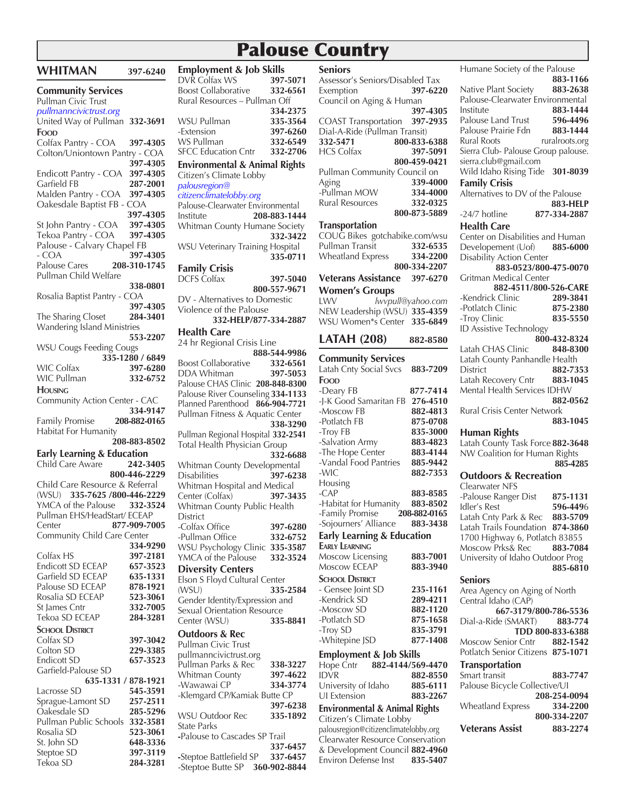# Palouse Country

| <u>VVEH LIVIAIN</u>                                                        | 397-6240             |
|----------------------------------------------------------------------------|----------------------|
| <b>Community Services</b><br>Pullman Civic Trust<br>pullmanncivictrust.org |                      |
| United Way of Pullman 332-3691<br>Food                                     |                      |
| Colfax Pantry - COA<br>Colton/Uniontown Pantry - COA                       | 397-4305             |
|                                                                            | 397-4305             |
| Endicott Pantry - COA                                                      | 397-4305             |
| Garfield FB                                                                | 287-2001             |
| Malden Pantry - COA                                                        | 397-4305             |
| Oakesdale Baptist FB - COA                                                 |                      |
|                                                                            | 397-4305             |
| St John Pantry - COA                                                       | 397-4305             |
| Tekoa Pantry - COA                                                         | 397-4305             |
| Palouse - Calvary Chapel FB                                                |                      |
| - COA                                                                      | 397-4305             |
| Palouse Cares<br>Pullman Child Welfare                                     | 208-310-1745         |
|                                                                            | 338-0801             |
| Rosalia Baptist Pantry - COA                                               | 397-4305             |
| The Sharing Closet                                                         | 284-3401             |
| <b>Wandering Island Ministries</b>                                         |                      |
|                                                                            | 553-2207             |
| <b>WSU Cougs Feeding Cougs</b>                                             |                      |
|                                                                            | 335-1280 / 6849      |
| WIC Colfax                                                                 | 397-6280             |
| WIC Pullman                                                                | 332-6752             |
| <b>HOUSING</b>                                                             |                      |
| Community Action Center - CAC                                              |                      |
|                                                                            |                      |
|                                                                            | 334-9147             |
|                                                                            | 208-882-0165         |
| Family Promise<br>Habitat For Humanity                                     | 208-883-8502         |
|                                                                            |                      |
| <b>Early Learning &amp; Education</b><br>Child Care Aware                  | 242-3405             |
|                                                                            | 800-446-2229         |
|                                                                            |                      |
| Child Care Resource & Referral<br>(WSU) 335-7625 /800-446-2229             |                      |
| YMCA of the Palouse                                                        | 332-3524             |
| Pullman EHS/HeadStart/ ECEAP                                               |                      |
| Center                                                                     | 877-909-7005         |
| Community Child Care Center                                                |                      |
|                                                                            | 334-9290<br>397-2181 |
|                                                                            |                      |
| Colfax HS<br>Endicott SD ECEAP                                             | 657-3523             |
| Garfield SD ECEAP<br>Palouse SD ECEAP                                      | 635-1331<br>878-1921 |
| Rosalia SD ECEAP                                                           | 523-3061             |
|                                                                            | 332-7005             |
| St James Cntr<br>Tekoa SD ECEAP                                            | 284-3281             |
| <b>SCHOOL DISTRICT</b>                                                     |                      |
|                                                                            | 397-3042             |
| Colfax SD<br>Colton SD                                                     | 229-3385             |
|                                                                            | 657-3523             |
|                                                                            |                      |
| 635-1331 / 878-1921                                                        |                      |
| Endicott SD<br>Garfield-Palouse SD<br>Lacrosse SD                          | 545-3591             |
| Sprague-Lamont SD                                                          | 257-2511             |
| Oakesdale SD                                                               | 285-5296             |
| Pullman Public Schools                                                     | 332-3581             |
| Rosalia SD                                                                 | 523-3061             |
| St. John SD<br>Steptoe SD                                                  | 648-3336<br>397-3119 |

Tekoa SD **284-3281**

**WHITMAN** 307-6240

| <b>Employment &amp; Job Skills</b><br>DVR Colfax WS                   | 397-5071             |
|-----------------------------------------------------------------------|----------------------|
| Boost Collaborative                                                   | 332-6561             |
| Rural Resources - Pullman Off                                         |                      |
| WSU Pullman                                                           | 334-2375<br>335-3564 |
| -Extension                                                            | 397-6260             |
| WS Pullman                                                            | 332-6549             |
| <b>SFCC Education Cntr</b>                                            | 332-2706             |
| <b>Environmental &amp; Animal Rights</b><br>Citizen's Climate Lobby   |                      |
| palousregion@                                                         |                      |
| citizenclimatelobby.org<br>Palouse-Clearwater Environmental           |                      |
| Institute                                                             | 208-883-1444         |
| Whitman County Humane Society                                         |                      |
| WSU Veterinary Training Hospital                                      | 332-3422             |
|                                                                       | 335-0711             |
| Family Crisis<br>DCFS Colfax                                          |                      |
|                                                                       | 397-5040             |
| DV - Alternatives to Domestic                                         | 800-557-9671         |
| Violence of the Palouse                                               |                      |
| 332-HELP/877-334-2887                                                 |                      |
| Health Care                                                           |                      |
| 24 hr Regional Crisis Line                                            | 888-544-9986         |
| Boost Collaborative 332-6561<br>DDA Whitman 397-5053                  |                      |
| <b>DDA Whitman</b>                                                    | 397-5053             |
| Palouse CHAS Clinic 208-848-8300<br>Palouse River Counseling 334-1133 |                      |
| Planned Parenthood 866-904-7721                                       |                      |
| Pullman Fitness & Aquatic Center                                      |                      |
|                                                                       | 338-3290             |
| Pullman Regional Hospital 332-2541<br>Total Health Physician Group    |                      |
|                                                                       | 332-6688             |
| Whitman County Developmental                                          |                      |
| <b>Disabilities</b><br>Whitman Hospital and Medical                   | 397-6238             |
| Center (Colfax)                                                       | 397-3435             |
| Whitman County Public Health                                          |                      |
| <b>District</b><br>-Colfax Office                                     | 397-6280             |
| -Pullman Office                                                       | 332-6752             |
| WSU Psychology Clinic                                                 | 335-3587             |
| YMCA of the Palouse                                                   | 332-3524             |
| <b>Diversity Centers</b><br>Elson S Floyd Cultural Center             |                      |
| (WSU)                                                                 | 335-2584             |
| Gender Identity/Expression and                                        |                      |
| Sexual Orientation Resource                                           |                      |
| Center (WSU)                                                          | 335-8841             |
| <b>Outdoors &amp; Rec</b><br>Pullman Civic Trust                      |                      |
| pullmanncivictrust.org                                                |                      |
| Pullman Parks & Rec                                                   | 338-3227             |
| Whitman County<br>-Wawawai CP                                         | 397-4622<br>334-3774 |
| -Klemgard CP/Kamiak Butte CP                                          |                      |
|                                                                       | 397-6238             |
| <b>WSU Outdoor Rec</b><br><b>State Parks</b>                          | 335-1892             |
| -Palouse to Cascades SP Trail                                         |                      |
|                                                                       | 337-6457             |
| -Steptoe Battlefield SP                                               | 337-6457             |

-Steptoe Butte SP **360-902-8844**

| <b>Seniors</b>                           |                   |
|------------------------------------------|-------------------|
| Assessor's Seniors/Disabled Tax          |                   |
| Exemption                                | 397-6220          |
| Council on Aging & Human                 |                   |
|                                          |                   |
|                                          | 397-4305          |
| <b>COAST Transportation</b>              | 397-2935          |
| Dial-A-Ride (Pullman Transit)            |                   |
| 332-5471                                 | 800-833-6388      |
| <b>HCS Colfax</b>                        | 397-5091          |
|                                          | 800-459-0421      |
| Pullman Community Council on             |                   |
|                                          |                   |
| Aging                                    | 339-4000          |
| -Pullman MOW                             | 334-4000          |
| <b>Rural Resources</b>                   | 332-0325          |
|                                          | 800-873-5889      |
|                                          |                   |
| Transportation                           |                   |
| COUG Bikes gotchabike.com/wsu            |                   |
| Pullman Transit                          | 332-6535          |
| <b>Wheatland Express</b>                 | 334-2200          |
|                                          | 800-334-2207      |
|                                          |                   |
| <b>Veterans Assistance</b>               | 397-6270          |
| <b>Women's Groups</b>                    |                   |
| LWV                                      | lwvpull@yahoo.com |
| NEW Leadership (WSU) 335-4359            |                   |
| WSU Women*s Center                       | 335-6849          |
|                                          |                   |
|                                          |                   |
| <b>LATAH (208)</b>                       | 882-8580          |
|                                          |                   |
| <b>Community Services</b>                |                   |
| Latah Cnty Social Svcs                   | 883-7209          |
| Food                                     |                   |
| -Deary FB                                | 877-7414          |
| -J-K Good Samaritan FB                   | 276-4510          |
|                                          |                   |
| -Moscow FB                               | 882-4813          |
| -Potlatch FB                             |                   |
|                                          | 875-0708          |
|                                          | 835-3000          |
| -Troy FB                                 |                   |
| -Salvation Army                          | 883-4823          |
| -The Hope Center                         | 883-4144          |
| -Vandal Food Pantries                    | 885-9442          |
| -WIC                                     | 882-7353          |
| Housing                                  |                   |
| $-CAP$                                   | 883-8585          |
|                                          |                   |
| -Habitat for Humanity                    | 883-8502          |
| -Family Promise                          | 208-882-0165      |
| -Sojourners' Alliance                    | 883-3438          |
| <b>Early Learning &amp; Education</b>    |                   |
| <b>EARLY LEARNING</b>                    |                   |
|                                          |                   |
| Moscow Licensing                         | 883-7001          |
| Moscow ECEAP                             | 883-3940          |
| <b>SCHOOL DISTRICT</b>                   |                   |
| - Gensee Joint SD                        | 235-1161          |
|                                          |                   |
| -Kendrick SD                             | 289-4211          |
| -Moscow SD                               | 882-1120          |
| -Potlatch SD                             | 875-1658          |
| -Troy SD                                 | 835-3791          |
| -Whitepine JSD                           | 877-1408          |
|                                          |                   |
| <b>Employment &amp; Job Skills</b>       |                   |
| 882-4144/569-4470<br>Hope Cntr           |                   |
| <b>IDVR</b>                              | 882-8550          |
| University of Idaho                      | 885-6111          |
| UI Extension                             | 883-2267          |
| <b>Environmental &amp; Animal Rights</b> |                   |

Citizen's Climate Lobby palousregion@citizenclimatelobby.org Clearwater Resource Conservation & Development Council **882-4960** Environ Defense Inst **835-5407**

Humane Society of the Palouse **883-1166**  Native Plant Society **883-2638** Palouse-Clearwater Environmental Institute **883-1444** Palouse Land Trust **596-4496**<br>Palouse Prairie Fdn **883-1444** Palouse Prairie Fdn<br>Rural Roots ruralroots.org Sierra Club- Palouse Group palouse. sierra.club@gmail.com Wild Idaho Rising Tide **301-8039 Family Crisis** Alternatives to DV of the Palouse **883-HELP** -24/7 hotline **877-334-2887 Health Care** Center on Disabilities and Human Developement (Uof) **885-6000** Disability Action Center **883-0523/800-475-0070** Gritman Medical Center **882-4511/800-526-CARE -Kendrick Clinic 289-3841**<br>**-Potlatch Clinic 875-2380 -Potlatch Clinic** -Troy Clinic **835-5550** ID Assistive Technology **800-432-8324** Latah CHAS Clinic **848-8300** Latah County Panhandle Health<br>District 882-73 District **882-7353** Latah Recovery Cntr **883-1045** Mental Health Services IDHW **882-0562** Rural Crisis Center Network **883-1045 Human Rights** Latah County Task Force **882-3648** NW Coalition for Human Rights **885-4285 Outdoors & Recreation** Clearwater NFS -Palouse Ranger Dist **875-1131** Idler's Rest **596-449**6 Latah Cnty Park & Rec **883-5709** Latah Trails Foundation **874-3860** 1700 Highway 6, Potlatch 83855 Moscow Prks& Rec **883-7084** University of Idaho Outdoor Prog **885-6810 Seniors** Area Agency on Aging of North Central Idaho (CAP) **667-3179/800-786-5536** Dial-a-Ride (SMART) **883-774 TDD 800-833-6388**  Moscow Senior Cntr **882-1542** Potlatch Senior Citizens **875-1071 Transportation** Smart transit **883-7747** Palouse Bicycle Collective/UI **208-254-0094** Wheatland Express **334-2200 800-334-2207**

**Veterans Assist 883-2274**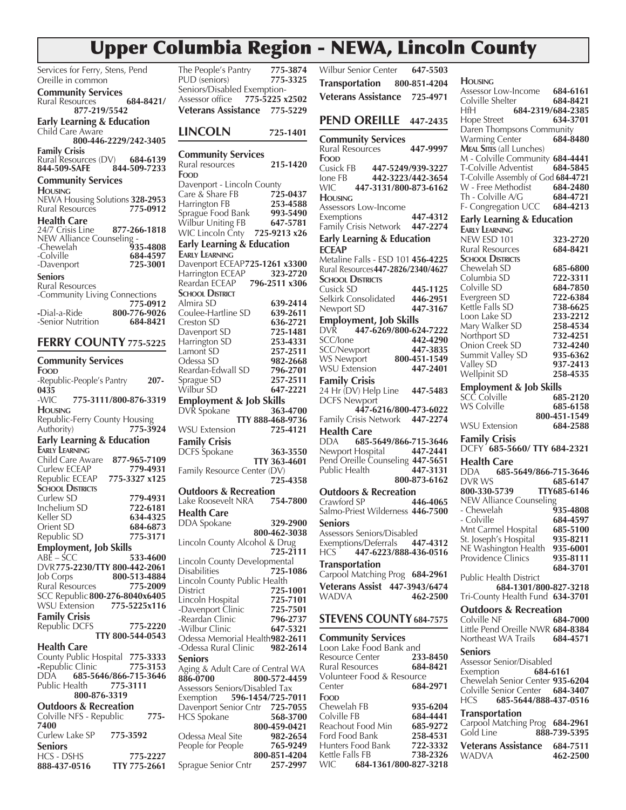# Upper Columbia Region - NEWA, Lincoln County

| Services for Ferry, Stens, Pend              | The P         |
|----------------------------------------------|---------------|
| Oreille in common                            | pud.          |
|                                              |               |
| <b>Community Services</b>                    | Senic         |
|                                              | Asses         |
| 684-8421/<br>Rural Resources                 |               |
| 877-219/5542                                 | Vete          |
|                                              |               |
| <b>Early Learning &amp; Education</b>        |               |
| Child Care Aware                             | LIN           |
|                                              |               |
| 800-446-2229/242-3405                        |               |
|                                              |               |
| <b>Family Crisis</b>                         | Com           |
| Rural Resources (DV) 684-6139                |               |
| 844-509-SAFE<br>844-509-7233                 | Rural         |
|                                              | Food          |
| <b>Community Services</b>                    |               |
|                                              | Dave          |
| <b>HOUSING</b>                               | Care          |
| NEWA Housing Solutions 328-2953              |               |
| 775-0912                                     | Harrii        |
| <b>Rural Resources</b>                       | Sprag         |
| <b>Health Care</b>                           |               |
|                                              | Wilbı         |
| 24/7 Crisis Line<br>877-266-1818             | WIC I         |
| NEW Alliance Counseling -                    |               |
| 935-4808                                     | Early         |
| -Chewelah                                    |               |
| -Colville<br>684-4597                        | EARLY         |
| 725-3001<br>-Davenport                       | Dave          |
|                                              |               |
| Seniors                                      | Harrii        |
| Rural Resources                              | Rearc         |
|                                              |               |
| -Community Living Connections                | <b>SCHO</b>   |
| 775-0912                                     | Almir         |
|                                              |               |
| 800-776-9026<br>-Dial-a-Ride                 | Coule         |
| -Senior Nutrition<br>684-8421                | Cresto        |
|                                              |               |
|                                              | Dave          |
| <b>FERRY COUNTY 775-5225</b>                 | Harri         |
|                                              |               |
|                                              | Lamo          |
| <b>Community Services</b>                    | Odes          |
|                                              |               |
| FOOD                                         | Rearc         |
| -Republic-People's Pantry<br>207-            | Sprag         |
|                                              |               |
| 0435                                         | Wilbi         |
|                                              |               |
|                                              |               |
| 775-3111/800-876-3319<br>-WIC                | <b>Emp</b>    |
|                                              | <b>DVR</b>    |
| <b>HOUSING</b>                               |               |
| Republic-Ferry County Housing                |               |
| 775-3924                                     |               |
| Authority)                                   | WSU           |
| <b>Early Learning &amp; Education</b>        | Fami          |
|                                              |               |
| <b>EARLY LEARNING</b>                        | dcfs          |
| Child Care Aware<br>877-965-7109             |               |
|                                              |               |
| 779-4931<br>Curlew ECEAP                     | Famil         |
| Republic ECEAP<br>775-3327 x125              |               |
|                                              |               |
| <b>SCHOOL DISTRICTS</b>                      | Outo          |
| Curlew SD<br>779-4931                        |               |
|                                              | Lake          |
| Inchelium SD<br>722-6181                     | Heal          |
| Keller SD<br>634-4325                        |               |
|                                              | DDA           |
| Orient SD<br>684-6873                        |               |
| Republic SD<br>775-3171                      |               |
|                                              | Linco         |
| <b>Employment, Job Skills</b>                |               |
| $ABE - SCC$<br>533-4600                      |               |
|                                              | Linco         |
| DVR775-2230/TTY 800-442-2061                 | Disab         |
| 800-513-4884<br><b>Job Corps</b>             |               |
|                                              | Linco         |
| Rural Resources<br>775-2009                  | Distri        |
| SCC Republic 800-276-8040x6405               |               |
|                                              | Linco         |
| <b>WSU Extension</b><br>775-5225x116         | -Dave         |
| <b>Family Crisis</b>                         |               |
|                                              | -Rear         |
| Republic DCFS<br>775-2220                    | -Wilb         |
| TTY 800-544-0543                             |               |
|                                              | Odes          |
| <b>Health Care</b>                           | -Ode:         |
|                                              |               |
| County Public Hospital 775-3333              | Senio         |
| -Republic Clinic<br>775-3153                 | Aging         |
| 685-5646/866-715-3646<br>DDA                 |               |
|                                              | 886-0         |
| Public Health<br>775-3111                    | Asses         |
| 800-876-3319                                 |               |
|                                              | Exem          |
| <b>Outdoors &amp; Recreation</b>             | Dave          |
|                                              |               |
| Colville NFS - Republic<br>775-              | HCS :         |
| 7400                                         |               |
|                                              |               |
| Curlew Lake SP<br>775-3592<br><b>Seniors</b> | Odes<br>Peopl |

HCS - DSHS **775-2227**

**888-437-0516 TTY 775-2661** 

**Sprague Senior Cntr** 

| The People's Pantry                          | 775-3874                     | <b>Wilbur Senior Cente</b>               |
|----------------------------------------------|------------------------------|------------------------------------------|
| PUD (seniors)                                | 775-3325                     | <b>Transportation</b>                    |
| Seniors/Disabled Exemption-                  |                              | <b>Veterans Assistano</b>                |
| Assessor office                              | 775-5225 x2502               |                                          |
| Veterans Assistance 775-5229                 |                              |                                          |
|                                              |                              | <b>PEND OREILL</b>                       |
| <b>LINCOLN</b>                               | 725-1401                     | <b>Community Servio</b>                  |
|                                              |                              | Rural Resources                          |
| <b>Community Services</b>                    |                              | FOOD                                     |
| Rural resources<br>Food                      | 215-1420                     | Cusick FB 447-5                          |
| Davenport - Lincoln County                   |                              | 442-3<br>Ione FB                         |
| Care & Share FB                              | 725-0437                     | 447-3131/<br>WIC                         |
| Harrington FB                                | 253-4588                     | <b>HOUSING</b>                           |
| Sprague Food Bank                            | 993-5490                     | Assessors Low-Inco                       |
| Wilbur Uniting FB                            | 647-5781                     | Exemptions<br>Family Crisis Networ       |
| WIC Lincoln Cnty 725-9213 x26                |                              | Early Learning & E                       |
| <b>Early Learning &amp; Education</b>        |                              | <b>ECEAP</b>                             |
| <b>EARLY LEARNING</b>                        |                              | Metaline Falls - ESD                     |
| Davenport ECEAP725-1261 x3300                |                              | Rural Resources447-2                     |
| Harrington ECEAP                             | 323-2720                     | <b>SCHOOL DISTRICTS</b>                  |
| Reardan ECEAP 796-2511 x306                  |                              | Cusick SD                                |
| <b>SCHOOL DISTRICT</b><br>Almira SD          |                              | Selkirk Consolidated                     |
| Coulee-Hartline SD                           | 639-2414<br>639-2611         | Newport SD                               |
| Creston SD                                   | 636-2721                     | <b>Employment, Job</b>                   |
| Davenport SD                                 | 725-1481                     | 447-6269/<br>dvr                         |
| Harrington SD                                | 253-4331                     | SCC/Ione                                 |
| Lamont SD                                    | 257-2511                     | SCC/Newport                              |
| Odessa SD                                    | 982-2668                     | <b>WS Newport</b>                        |
| Reardan-Edwall SD                            | 796-2701                     | <b>WSU Extension</b>                     |
| Sprague SD                                   | 257-2511                     | <b>Family Crisis</b>                     |
| Wilbur SD                                    | 647-2221                     | 24 Hr (DV) Help Lin                      |
| <b>Employment &amp; Job Skills</b>           |                              | <b>DCFS Newport</b>                      |
| DVR Spokane                                  | 363-4700<br>TTY 888-468-9736 | 447-6216/<br>Family Crisis Networ        |
| <b>WSU Extension</b>                         | 725-4121                     |                                          |
|                                              |                              | Health Care<br>DDA 685-5649/             |
| <b>Family Crisis</b><br>DCFS Spokane         | 363-3550                     | Newport Hospital                         |
|                                              | TTY 363-4601                 | Pend Oreille Counse                      |
| Family Resource Center (DV)                  |                              | Public Health                            |
|                                              | 725-4358                     |                                          |
| <b>Outdoors &amp; Recreation</b>             |                              | <b>Outdoors &amp; Recre</b>              |
| Lake Roosevelt NRA                           | 754-7800                     | Crawford SP                              |
| <b>Health Care</b>                           |                              | Salmo-Priest Wilderr                     |
| DDA Spokane                                  | 329-2900                     | <b>Seniors</b>                           |
|                                              | 800-462-3038                 | Assessors Seniors/Di                     |
| Lincoln County Alcohol & Drug                |                              | Exemptions/Deferral                      |
|                                              | 725-2111                     | 447-6223/<br>HCS                         |
| Lincoln County Developmental<br>Disabilities | 725-1086                     | <b>Transportation</b>                    |
| Lincoln County Public Health                 |                              | Carpool Matching Pr                      |
| District                                     | 725-1001                     | <b>Veterans Assist</b><br>$\overline{4}$ |
| Lincoln Hospital                             | 725-7101                     | WADVA                                    |
| -Davenport Clinic                            | 725-7501                     |                                          |
| -Reardan Clinic                              | 796-2737                     | STEVENS COUN                             |
| -Wilbur Clinic                               | 647-5321                     |                                          |
| Odessa Memorial Health982-2611               |                              | <b>Community Servio</b>                  |
| -Odessa Rural Clinic                         | 982-2614                     | Loon Lake Food Ba<br>Resource Center     |
| <b>Seniors</b>                               |                              | Rural Resources                          |
| Aging & Adult Care of Central WA<br>886-0700 | 800-572-4459                 | Volunteer Food & R                       |
| Assessors Seniors/Disabled Tax               |                              | Center                                   |
| Exemption                                    | 596-1454/725-7011            | FOOD                                     |
| Davenport Senior Cntr                        | 725-7055                     | Chewelah FB                              |
| HCS Spokane                                  | 568-3700                     | Colville FB                              |
|                                              | 800-459-0421                 | Reachout Food Min                        |
| Odessa Meal Site                             | 982-2654                     | Ford Food Bank                           |
| People for People                            | 765-9249                     | Hunters Food Bank                        |

| <b>Wilbur Senior Center</b>                          | 647-5503     |
|------------------------------------------------------|--------------|
|                                                      |              |
| <b>Transportation</b>                                | 800-851-4204 |
| Veterans Assistance 725-4971                         |              |
|                                                      |              |
|                                                      |              |
| <b>PEND OREILLE</b>                                  | 447-2435     |
|                                                      |              |
| <b>Community Services</b>                            |              |
| Rural Resources                                      | 447-9997     |
| Food                                                 |              |
| Cusick FB<br>447-5249/939-3227                       |              |
| 442-3223/442-3654<br>Ione FB                         |              |
| 447-3131/800-873-6162<br>WIC                         |              |
| <b>HOUSING</b>                                       |              |
| Assessors Low-Income                                 |              |
| Exemptions                                           | 447-4312     |
| Family Crisis Network                                | 447-2274     |
| <b>Early Learning &amp; Education</b>                |              |
| <b>ECEAP</b>                                         |              |
| Metaline Falls - ESD 101 456-4225                    |              |
|                                                      |              |
| Rural Resources447-2826/2340/4627                    |              |
| <b>SCHOOL DISTRICTS</b>                              |              |
| Cusick SD                                            | 445-1125     |
| Selkirk Consolidated                                 | 446-2951     |
| Newport SD                                           | 447-3167     |
|                                                      |              |
| Employment, Job Skills<br>DVR 447-6269/800-624-7222  |              |
| SCC/Ione                                             | 442-4290     |
| <b>SCC/Newport</b>                                   | 447-3835     |
| <b>WS Newport</b>                                    | 800-451-1549 |
| <b>WSU</b> Extension                                 | 447-2401     |
|                                                      |              |
| <b>Family Crisis</b>                                 |              |
| 24 Hr (DV) Help Line                                 | 447-5483     |
| <b>DCFS Newport</b>                                  |              |
| 447-6216/800-473-6022                                |              |
| Family Crisis Network                                | 447-2274     |
| <b>Health Care</b>                                   |              |
| 685-5649/866-715-3646<br>DDA.                        |              |
| Newport Hospital                                     | 447-2441     |
| Pend Oreille Counseling 447-5651                     |              |
| Public Health                                        | 447-3131     |
|                                                      | 800-873-6162 |
|                                                      |              |
| <b>Outdoors &amp; Recreation</b>                     |              |
| Crawford SP                                          | 446-4065     |
| Salmo-Priest Wilderness 446-7500                     |              |
| <b>Seniors</b>                                       |              |
| Assessors Seniors/Disabled                           |              |
| Exemptions/Deferrals 447-4312                        |              |
| <b>HCS</b><br>447-6223/888-436-0516                  |              |
|                                                      |              |
| <b>Transportation</b>                                |              |
| Carpool Matching Prog 684-2961                       |              |
| Veterans Assist 447-3943/6474                        |              |
| WADVA                                                | 462-2500     |
|                                                      |              |
| <b>STEVENS COUNTY 684-7575</b>                       |              |
|                                                      |              |
|                                                      |              |
| <b>Community Services</b><br>Loon Lake Food Bank and |              |
|                                                      |              |
| <b>Resource Center</b>                               | 233-8450     |
| <b>Rural Resources</b>                               | 684-8421     |
| Volunteer Food & Resource                            |              |
| Center                                               | 684-2971     |
| Food                                                 |              |
| Chewelah FB                                          | 935-6204     |
| Colville FB                                          | 684-4441     |
| Reachout Food Min                                    | 685-9272     |
| Ford Food Bank                                       | 258-4531     |
| Hunters Food Bank                                    | 722-3332     |
| Kettle Falls FB                                      | 738-2326     |
|                                                      |              |

**800-851-4204** Kettle Falls FB **738-2326**

WIC **684-1361/800-827-3218**

| <b>HOUSING</b>                                                     |                      |
|--------------------------------------------------------------------|----------------------|
| Assessor Low-Income 684-6161                                       |                      |
| Colville Shelter<br>684-2319/684-2385<br>HfH                       | 684-8421             |
| Hope Street                                                        | 634-3701             |
| Daren Thompsons Community                                          |                      |
| <b>Warming Center</b>                                              | 684-8480             |
| <b>MEAL SITES (all Lunches)</b><br>M - Colville Community 684-4441 |                      |
| T-Colville Adventist                                               | 684-5845             |
| T-Colville Assembly of God 684-4721                                |                      |
| W - Free Methodist<br>Th - Colville A/G                            | 684-2480<br>684-4721 |
| F-Congregation UCC                                                 | 684-4213             |
| <b>Early Learning &amp; Education</b>                              |                      |
| <b>EARLY LEARNING</b>                                              |                      |
| NEW ESD 101<br>Rural Resources                                     | 323-2720<br>684-8421 |
| <b>SCHOOL DISTRICTS</b>                                            |                      |
| Chewelah SD                                                        | 685-6800             |
| Columbia SD<br>Colville SD                                         | 722-3311<br>684-7850 |
| Evergreen SD                                                       | 722-6384             |
| Kettle Falls SD                                                    | 738-6625             |
| Loon Lake SD                                                       | 233-2212<br>258-4534 |
| Mary Walker SD<br>Northport SD                                     | 732-4251             |
| Onion Creek SD                                                     | 732-4240             |
| Summit Valley SD                                                   | 935-6362             |
| Valley SD<br>Wellpinit SD                                          | 937-2413<br>258-4535 |
|                                                                    |                      |
| <b>Employment &amp; Job Skills</b><br>SCC Colville                 | 685-2120             |
| WS Colville                                                        | 685-6158             |
|                                                                    | 800-451-1549         |
|                                                                    |                      |
| <b>WSU Extension</b>                                               | 684-2588             |
| <b>Family Crisis</b>                                               |                      |
| DCFY 685-5660/TTY 684-2321                                         |                      |
| Health Care<br>685-5649/866-715-3646<br>DDA.                       |                      |
| DVR WS                                                             | 685-6147             |
| 800-330-5739                                                       | TTY685-6146          |
| <b>NEW Alliance Counseling</b><br>- Chewelah                       | 935-4808             |
| - Colville                                                         | 684-4597             |
| Mnt Carmel Hospital                                                | 685-5100             |
| St. Joseph's Hospital                                              | 935-8211             |
| NE Washington Health<br>Providence Clinics                         | 935-6001<br>935-8111 |
|                                                                    | 684-3701             |
| Public Health District                                             |                      |
| 684-1301/800-827-3218<br>Tri-County Health Fund 634-3701           |                      |
| <b>Outdoors &amp; Recreation</b>                                   |                      |
| Colville NF                                                        | 684-7000             |
| Little Pend Oreille NWR 684-8384                                   |                      |
| Northeast WA Trails                                                | 684-4571             |
| Seniors<br>Assessor Senior/Disabled                                |                      |
| Exemption                                                          | 684-6161             |
| Chewelah Senior Center 935-6204                                    |                      |
| Colville Senior Center 684-3407<br>HCS                             |                      |
| 685-5644/888-437-0516                                              |                      |
| <b>Transportation</b><br>Carpool Matching Prog 684-2961            |                      |
| Gold Line                                                          | 888-739-5395         |
| <b>Veterans Assistance</b><br>WADVA                                | 684-7511<br>462-2500 |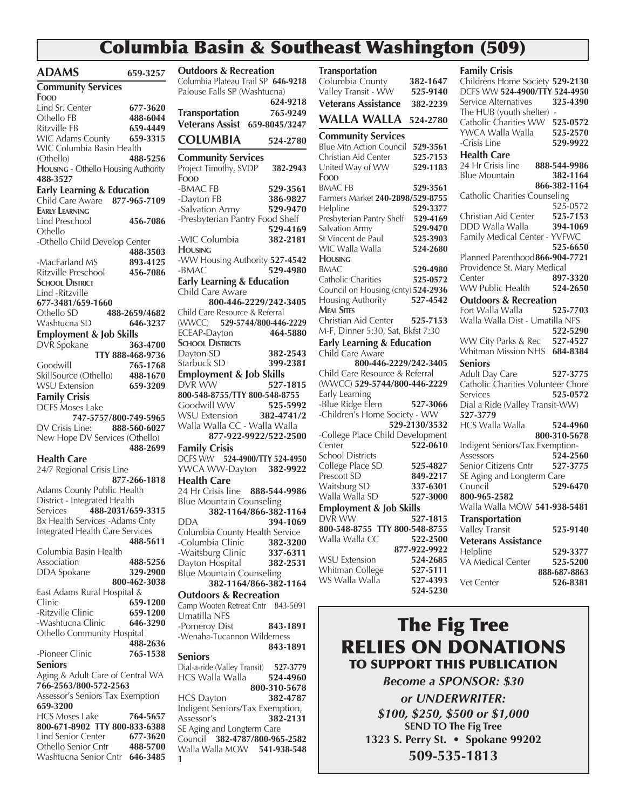# Columbia Basin & Southeast Washington (509)

| <b>ADAMS</b>                                  | 659-3257          | <b>Outdoors &amp; Recreation</b>                            |                                   |
|-----------------------------------------------|-------------------|-------------------------------------------------------------|-----------------------------------|
| <b>Community Services</b>                     |                   | Columbia Plateau Trail SP 646-9218                          |                                   |
| Food                                          |                   | Palouse Falls SP (Washtucna)                                |                                   |
| Lind Sr. Center                               | 677-3620          |                                                             | 624-9218                          |
| Othello FB                                    | 488-6044          | Transportation                                              | 765-9249                          |
| Ritzville FB                                  | 659-4449          | Veterans Assist 659-8045/3247                               |                                   |
| <b>WIC Adams County</b>                       | 659-3315          | <b>COLUMBIA</b>                                             | 524-2780                          |
| WIC Columbia Basin Health                     |                   |                                                             |                                   |
| (Othello)                                     | 488-5256          | <b>Community Services</b>                                   |                                   |
| HOUSING - Othello Housing Authority           |                   | Project Timothy, SVDP                                       | 382-2943                          |
| 488-3527                                      |                   | Food                                                        |                                   |
| <b>Early Learning &amp; Education</b>         |                   | -BMAC FB                                                    | 529-3561                          |
| Child Care Aware 877-965-7109                 |                   | -Dayton FB                                                  | 386-9827                          |
| <b>EARLY LEARNING</b>                         |                   | -Salvation Army                                             | 529-9470                          |
| Lind Preschool                                | 456-7086          | -Presbyterian Pantry Food Shelf                             |                                   |
| Othello                                       |                   | -WIC Columbia                                               | 529-4169<br>382-2181              |
| -Othello Child Develop Center                 |                   | <b>HOUSING</b>                                              |                                   |
|                                               | 488-3503          | -WW Housing Authority 527-4542                              |                                   |
| -MacFarland MS                                | 893-4125          | -BMAC                                                       | 529-4980                          |
| Ritzville Preschool<br><b>SCHOOL DISTRICT</b> | 456-7086          | <b>Early Learning &amp; Education</b>                       |                                   |
| Lind -Ritzville                               |                   | Child Care Aware                                            |                                   |
| 677-3481/659-1660                             |                   |                                                             | 800-446-2229/242-3405             |
| Othello SD                                    | 488-2659/4682     | Child Care Resource & Referral                              |                                   |
| Washtucna SD                                  | 646-3237          | (WWCC)                                                      | 529-5744/800-446-2229             |
| <b>Employment &amp; Job Skills</b>            |                   | ECEAP-Dayton                                                | 464-5880                          |
| DVR Spokane                                   | 363-4700          | <b>SCHOOL DISTRICTS</b>                                     |                                   |
|                                               | TTY 888-468-9736  | Dayton SD                                                   | 382-2543                          |
| Goodwill                                      | 765-1768          | Starbuck SD                                                 | 399-2381                          |
| SkillSource (Othello) 488-1670                |                   | Employment & Job Skills                                     |                                   |
| <b>WSU Extension</b>                          | 659-3209          | DVR WW                                                      | 527-1815                          |
| <b>Family Crisis</b>                          |                   | 800-548-8755/TTY 800-548-8755                               |                                   |
| DCFS Moses Lake                               |                   | Goodwill WW                                                 | 525-5992                          |
| 747-5757/800-749-5965                         |                   | WSU Extension 382-4741/2                                    |                                   |
| DV Crisis Line: 888-560-6027                  |                   | Walla Walla CC - Walla Walla                                |                                   |
| New Hope DV Services (Othello)                |                   |                                                             | 877-922-9922/522-2500             |
|                                               | 488-2699          | <b>Family Crisis</b>                                        |                                   |
| <b>Health Care</b>                            |                   | DCFS WW 524-4900/TTY 524-4950                               |                                   |
| 24/7 Regional Crisis Line                     |                   | YWCA WW-Dayton 382-9922                                     |                                   |
|                                               | 877-266-1818      | <b>Health Care</b>                                          |                                   |
| Adams County Public Health                    |                   | 24 Hr Crisis line                                           | 888-544-9986                      |
| District - Integrated Health<br>Services      | 488-2031/659-3315 | <b>Blue Mountain Counseling</b>                             |                                   |
| Bx Health Services - Adams Cnty               |                   | dda                                                         | 382-1164/866-382-1164<br>394-1069 |
| Integrated Health Care Services               |                   |                                                             |                                   |
|                                               | 488-5611          | Columbia County Health Service<br>-Columbia Clinic          | 382-3200                          |
| Columbia Basin Health                         |                   | -Waitsburg Clinic                                           | 337-6311                          |
| Association                                   | 488-5256          | Dayton Hospital                                             | 382-2531                          |
| DDA Spokane                                   | 329-2900          | <b>Blue Mountain Counseling</b>                             |                                   |
|                                               | 800-462-3038      |                                                             | 382-1164/866-382-1164             |
| East Adams Rural Hospital &                   |                   | <b>Outdoors &amp; Recreation</b>                            |                                   |
| Clinic                                        | 659-1200          | Camp Wooten Retreat Cntr 843-5091                           |                                   |
| -Ritzville Clinic                             | 659-1200          | Umatilla NFS                                                |                                   |
| -Washtucna Clinic                             | 646-3290          | -Pomeroy Dist                                               | 843-1891                          |
| Othello Community Hospital                    |                   | -Wenaha-Tucannon Wilderness                                 |                                   |
|                                               | 488-2636          |                                                             | 843-1891                          |
| -Pioneer Clinic                               | 765-1538          | <b>Seniors</b>                                              |                                   |
| <b>Seniors</b>                                |                   | Dial-a-ride (Valley Transit) 527-3779                       |                                   |
| Aging & Adult Care of Central WA              |                   | HCS Walla Walla                                             | 524-4960                          |
| 766-2563/800-572-2563                         |                   |                                                             | 800-310-5678                      |
| Assessor's Seniors Tax Exemption<br>659-3200  |                   | <b>HCS Dayton</b>                                           | 382-4787                          |
| <b>HCS Moses Lake</b>                         | 764-5657          | Indigent Seniors/Tax Exemption,                             |                                   |
| 800-671-8902 TTY 800-833-6388                 |                   | Assessor's                                                  | 382-2131                          |
| Lind Senior Center                            | 677-3620          | SE Aging and Longterm Care<br>Council 382-4787/800-965-2582 |                                   |
| Othello Senior Cntr                           | 488-5700          | Walla Walla MOW 541-938-548                                 |                                   |
| Washtucna Senior Cntr 646-3485                |                   | 1                                                           |                                   |

| <b>Outdoors &amp; Recreation</b>                                   |                                    |
|--------------------------------------------------------------------|------------------------------------|
| Columbia Plateau Trail SP 646-9218<br>Palouse Falls SP (Washtucna) |                                    |
|                                                                    | 624-9218                           |
| <b>Transportation</b>                                              | 765-9249                           |
| <b>Veterans Assist 659-8045/3247</b>                               |                                    |
| <b>COLUMBIA</b>                                                    | 524-2780                           |
| <b>Community Services</b>                                          |                                    |
| Project Timothy, SVDP<br>Food                                      | 382-2943                           |
| -BMAC FB                                                           | 529-3561                           |
| -Dayton FB                                                         | 386-9827                           |
| -Salvation Army                                                    | 529-9470                           |
| -Presbyterian Pantry Food Shelf                                    |                                    |
| -WIC Columbia                                                      | 529-4169<br>382-2181               |
| <b>HOUSING</b>                                                     |                                    |
| -WW Housing Authority 527-4542                                     |                                    |
| -BMAC                                                              | 529-4980                           |
| <b>Early Learning &amp; Education</b><br>Child Care Aware          |                                    |
| 800-446-2229/242-3405                                              |                                    |
| Child Care Resource & Referral                                     |                                    |
| (WWCC) 529-5744/800-446-2229                                       |                                    |
| ECEAP-Dayton                                                       | 464-5880                           |
| <b>SCHOOL DISTRICTS</b><br>Dayton SD                               | 382-2543                           |
| Starbuck SD                                                        | 399-2381                           |
| <b>Employment &amp; Job Skills</b>                                 |                                    |
| DVR WW                                                             | 527-1815                           |
| 800-548-8755/TTY 800-548-8755<br>Goodwill WW                       |                                    |
| <b>WSU Extension</b>                                               | 525-5992<br>∠925-395<br>2/1741-382 |
| Walla Walla CC - Walla Walla                                       |                                    |
| 877-922-9922/522-2500                                              |                                    |
| <b>Family Crisis</b>                                               |                                    |
| DCFS WW 524-4900/TTY 524-4950<br>YWCA WW-Dayton 382-9922           |                                    |
| <b>Health Care</b>                                                 |                                    |
| 24 Hr Crisis line 888-544-9986                                     |                                    |
| <b>Blue Mountain Counseling</b>                                    |                                    |
| 382-1164/866-382-1164                                              |                                    |
| <b>DDA</b><br>Columbia County Health Service                       | 394-1069                           |
| -Columbia Clinic                                                   | 382-3200                           |
| -Waitsburg Clinic                                                  | 337-6311                           |
| Dayton Hospital                                                    | 382-2531                           |
| <b>Blue Mountain Counseling</b><br>382-1164/866-382-1164           |                                    |
| <b>Outdoors &amp; Recreation</b>                                   |                                    |
| Camp Wooten Retreat Cntr 843-5091                                  |                                    |
| Umatilla NFS                                                       |                                    |
| -Pomeroy Dist<br>-Wenaha-Tucannon Wilderness                       | 843-1891                           |
|                                                                    | 843-1891                           |
| <b>Seniors</b>                                                     |                                    |
| Dial-a-ride (Valley Transit) 527-3779                              |                                    |
| <b>HCS Walla Walla</b>                                             | 524-4960<br>800-310-5678           |
| <b>HCS Dayton</b>                                                  | 382-4787                           |
| Indigent Seniors/Tax Exemption,                                    |                                    |

**1**

**Transportation** Columbia County **382-1647**  Valley Transit - WW **525-9140 Veterans Assistance 382-2239 WALLA WALLA 524-2780 Community Services**  Blue Mtn Action Council **529-3561**  Christian Aid Center **525-7153**<br>
United Way of WW 529-1183 United Way of WW **529-1183 Food** BMAC FB **529-3561** Farmers Market **240-2898/529-8755** Helpline **529-3377** Presbyterian Pantry Shelf **529-4169** Salvation Army **529-9470** St Vincent de Paul **525-3903** WIC Walla Walla **524-2680 Housing** BMAC **529-4980**  Catholic Charities **525-0572**  Council on Housing (cnty) **524-2936** Housing Authority **527-4542 Meal Sites** Christian Aid Center **525-7153** M-F, Dinner 5:30, Sat, Bkfst 7:30 **Early Learning & Education**  Child Care Aware **800-446-2229/242-3405**  Child Care Resource & Referral (WWCC) **529-5744/800-446-2229** Early Learning -Blue Ridge Elem **527-3066** -Children's Home Society - WW **529-2130/3532** -College Place Child Development Center **522-0610** School Districts College Place SD **525-4827**  Prescott SD **849-2217** Waitsburg SD **337-6301** Walla Walla SD **527-3000 Employment & Job Skills**  527-1815 **800-548-8755 TTY 800-548-8755** Walla Walla CC **522-2500 877-922-9922 WSU Extension** Whitman College **527-5111** WS Walla Walla **527-4393 524-5230**

#### **Family Crisis**

| Childrens Home Society 529-2130                               |              |
|---------------------------------------------------------------|--------------|
| DCFS WW 524-4900/TTY 524-4950                                 |              |
| Service Alternatives                                          | 325-4390     |
| The HUB (youth shelter)                                       |              |
| Catholic Charities WW 525-0572                                |              |
|                                                               |              |
| YWCA Walla Walla                                              | 525-2570     |
| -Crisis Line                                                  | 529-9922     |
| <b>Health Care</b>                                            |              |
| 24 Hr Crisis line                                             | 888-544-9986 |
| <b>Blue Mountain</b>                                          | 382-1164     |
|                                                               | 866-382-1164 |
|                                                               |              |
| Catholic Charities Counseling                                 |              |
|                                                               | 525-0572     |
| Christian Aid Center                                          | 525-7153     |
| DDD Walla Walla                                               | 394-1069     |
| Family Medical Center - YVFWC                                 |              |
|                                                               | 525-6650     |
| Planned Parenthood 866-904-7721                               |              |
| Providence St. Mary Medical                                   |              |
|                                                               |              |
| Center                                                        | 897-3320     |
| WW Public Health                                              | 524-2650     |
| <b>Outdoors &amp; Recreation</b>                              |              |
| Fort Walla Walla                                              | 525-7703     |
| Walla Walla Dist - Umatilla NFS                               |              |
|                                                               | 522-5290     |
|                                                               |              |
| WW City Parks & Rec                                           | 527-4527     |
| Whitman Mission NHS 684-8384                                  |              |
| <b>Seniors</b>                                                |              |
| Adult Day Care 527-3775<br>Catholic Charities Volunteer Chore |              |
|                                                               |              |
| Services                                                      | 525-0572     |
| Dial a Ride (Valley Transit-WW)                               |              |
|                                                               |              |
| 527-3779                                                      |              |
| HCS Walla Walla                                               | 524-4960     |
|                                                               | 800-310-5678 |
| Indigent Seniors/Tax Exemption-                               |              |
| Assessors                                                     | 524-2560     |
| Senior Citizens Cntr                                          | 527-3775     |
| SE Aging and Longterm Care                                    |              |
| Council                                                       | 529-6470     |
| 800-965-2582                                                  |              |
|                                                               |              |
| Walla Walla MOW 541-938-5481                                  |              |
| <b>Transportation</b>                                         |              |
| Valley Transit                                                | 525-9140     |
| <b>Veterans Assistance</b>                                    |              |
| Helpline                                                      | 529-3377     |
|                                                               |              |
| VA Medical Center                                             | 525-5200     |
|                                                               | 888-687-8863 |
| Vet Center                                                    | 526-8381     |
|                                                               |              |

# The Fig Tree RELIES ON DONATIONS TO SUPPORT THIS PUBLICATION

*Become a SPONSOR: \$30 or UNDERWRITER: \$100, \$250, \$500 or \$1,000* **SEND TO The Fig Tree 1323 S. Perry St. • Spokane 99202 509-535-1813**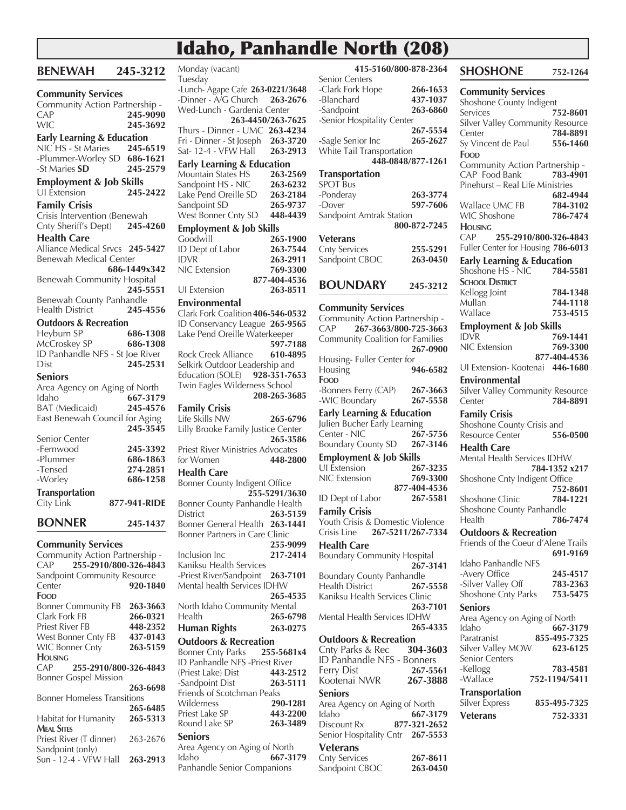# Idaho, Panhandle North (208)

| <b>BENEWAH</b>                                         | 245-3212              |
|--------------------------------------------------------|-----------------------|
| <b>Community Services</b>                              |                       |
| Community Action Partnership -                         |                       |
| CAP<br><b>WIC</b>                                      | 245-9090<br>245-3692  |
|                                                        |                       |
| Early Learning & Education<br>NIC HS - St Maries 245-6 | 245-6519              |
| -Plummer-Worley SD 686-1621                            |                       |
| -St Maries SD                                          | 245-2579              |
| <b>Employment &amp; Job Skills</b><br>UI Extension     | 245-2422              |
| <b>Family Crisis</b>                                   |                       |
| Crisis Intervention (Benewah                           |                       |
| Cnty Sheriff's Dept)                                   | 245-4260              |
| <b>Health Care</b>                                     |                       |
| Alliance Medical Srvcs 245-5427                        |                       |
| <b>Benewah Medical Center</b>                          |                       |
|                                                        | 686-1449x342          |
| Benewah Community Hospital                             |                       |
| Benewah County Panhandle                               | 245-5551              |
| <b>Health District</b>                                 | 245-4556              |
| <b>Outdoors &amp; Recreation</b>                       |                       |
| Heyburn SP                                             | 686-1308              |
| McCroskey SP                                           | 686-1308              |
| ID Panhandle NFS - St Joe River                        |                       |
| Dist                                                   | 245-2531              |
| Seniors                                                |                       |
| Area Agency on Aging of North                          |                       |
| Idaho                                                  | 667-3179              |
| <b>BAT</b> (Medicaid)                                  | 245-4576              |
| East Benewah Council for Aging                         |                       |
|                                                        | 245-3545              |
| Senior Center                                          |                       |
| -Fernwood<br>-Plummer                                  | 245-3392<br>686-1863  |
| -Tensed                                                | 274-2851              |
| -Worley                                                | 686-1258              |
| <b>Transportation</b>                                  |                       |
| City Link                                              | 877-941-RIDE          |
| <b>BONNER</b>                                          | 245-1437              |
| <b>Community Services</b>                              |                       |
| Community Action Partnership -                         |                       |
| CAP                                                    | 255-2910/800-326-4843 |
| Sandpoint Community Resource                           |                       |
| Center                                                 | 920-1840              |
| Food                                                   |                       |
| <b>Bonner Community FB</b>                             | 263-3663              |
| Clark Fork FB<br><b>Priest River FB</b>                | 266-0321              |
| West Bonner Cnty FB                                    | 448-2352<br>437-0143  |
| <b>WIC Bonner Cnty</b>                                 | 263-5159              |
| <b>HOUSING</b>                                         |                       |
| CAP                                                    | 255-2910/800-326-4843 |
| <b>Bonner Gospel Mission</b>                           |                       |
|                                                        | 263-6698              |
| <b>Bonner Homeless Transitions</b>                     |                       |
|                                                        | 265-6485              |
| Habitat for Humanity                                   | 265-5313              |
| <b>MEAL SITES</b><br>Priest River (T dinner)           | 263-2676              |
| Sandpoint (only)                                       |                       |

Sun - 12-4 - VFW Hall **263-2913**

Monday (vacant) Tuesday -Lunch- Agape Cafe **263-0221/3648** -Dinner - A/G Church **263-2676** Wed-Lunch - Gardenia Center **263-4450/263-7625** Thurs - Dinner - UMC **263-4234** Fri - Dinner - St Joseph **263-3720** Sat- 12-4 - VFW Hall **263-2913 Early Learning & Education**  Mountain States HS **263-2569** Sandpoint HS - NIC **263-6232** Lake Pend Oreille SD **263-2184** Sandpoint SD **265-9737** West Bonner Cnty SD **448-4439 Employment & Job Skills**  Goodwill **265-1900**<br> **ID** Dept of Labor **263-7544 ID Dept of Labor** IDVR **263-2911** NIC Extension **769-3300 877-404-4536** UI Extension **263-8511 Environmental** Clark Fork Coalition **406-546-0532** ID Conservancy League **265-9565** Lake Pend Oreille Waterkeeper **597-7188 Rock Creek Alliance** Selkirk Outdoor Leadership and Education (SOLE) **928-351-7653** Twin Eagles Wilderness School **208-265-3685 Family Crisis** Life Skills NW **265-6796** Lilly Brooke Family Justice Center **265-3586** Priest River Ministries Advocates<br>for Women 448-28 for Women **448-2800 Health Care** Bonner County Indigent Office **255-5291/3630** Bonner County Panhandle Health District **263-5159** Bonner General Health **263-1441** Bonner Partners in Care Clinic **255-9099** Inclusion Inc **217-2414** Kaniksu Health Services -Priest River/Sandpoint **263-7101**  Mental health Services IDHW **265-4535**  North Idaho Community Mental Health **265-6798 Human Rights 263-0275 Outdoors & Recreation** Bonner Cnty Parks **255-5681x4** ID Panhandle NFS -Priest River (Priest Lake) Dist **443-2512** -Sandpoint Dist **263-5111** Friends of Scotchman Peaks Wilderness **290-1281 Priest Lake SP** Round Lake SP **263-3489 Seniors** Area Agency on Aging of North Idaho **667-3179**

Panhandle Senior Companions

| - -<br>.,                                                   | $\sim$                   |
|-------------------------------------------------------------|--------------------------|
| 415-5160/800-878-2364<br>Senior Centers                     |                          |
| -Clark Fork Hope                                            | 266-1653                 |
| -Blanchard<br>-Sandpoint                                    | 437-1037<br>263-6860     |
| -Senior Hospitality Center                                  |                          |
| -Sagle Senior Inc                                           | 267-5554<br>265-2627     |
| White Tail Transportation                                   |                          |
| 448-0848/877-1261                                           |                          |
| <b>Transportation</b><br><b>SPOT Bus</b>                    |                          |
| -Ponderay                                                   | 263-3774                 |
| -Dover<br>Sandpoint Amtrak Station                          | 597-7606                 |
|                                                             | 800-872-7245             |
| <b>Veterans</b>                                             |                          |
| <b>Cnty Services</b><br>Sandpoint CBOC                      | 255-5291<br>263-0450     |
|                                                             |                          |
| <b>BOUNDARY</b>                                             | 245-3212                 |
| <b>Community Services</b>                                   |                          |
| Community Action Partnership -<br>CAP 267-3663/800-725-3663 |                          |
| Community Coalition for Families                            |                          |
|                                                             | 267-0900                 |
| Housing-Fuller Center for<br>Housing                        | 946-6582                 |
| Food                                                        |                          |
| -Bonners Ferry (CAP)<br>-WIC Boundary                       | 267-3663<br>267-5558     |
| <b>Early Learning &amp; Education</b>                       |                          |
| Julien Bucher Early Learning                                |                          |
| Center - NIC<br><b>Boundary County SD</b>                   | 267-5756<br>267-3146     |
| <b>Employment &amp; Job Skills</b>                          |                          |
| <b>UI</b> Extension<br><b>NIC</b> Extension                 | 267-3235<br>769-3300     |
|                                                             | 877-404-4536             |
| <b>ID Dept of Labor</b>                                     | 267-5581                 |
| <b>Family Crisis</b><br>Youth Crisis & Domestic Violence    |                          |
| Crisis Line<br>267-5211/267-7334                            |                          |
| <b>Health Care</b>                                          |                          |
| <b>Boundary Community Hospital</b>                          | 267-3141                 |
| <b>Boundary County Panhandle</b>                            |                          |
| Health District<br>Kaniksu Health Services Clinic           | 267-5558                 |
|                                                             | 263-7101                 |
| Mental Health Services IDHW                                 | 265-4335                 |
| <b>Outdoors &amp; Recreation</b><br>Cnty Parks & Rec        |                          |
| ID Panhandle NFS - Bonners                                  | 304-3603                 |
| Ferry Dist<br>Kootenai NWR                                  | 267-5561                 |
| <b>Seniors</b>                                              | 267-3888                 |
| Area Agency on Aging of North                               |                          |
| Idaho<br>Discount Rx                                        | 667-3179<br>877-321-2652 |
| Senior Hospitality Cntr 267-5553                            |                          |
| <b>Veterans</b>                                             |                          |
| <b>Cnty Services</b><br>Sandpoint CBOC                      | 267-8611<br>263-0450     |

**SHOSHONE 752-1264 Community Services**  Shoshone County Indigent Services **752-8601** Silver Valley Community Resource Center **784-8891** Sy Vincent de Paul **556-1460 Food** Community Action Partnership - CAP Food Bank **783-4901** Pinehurst – Real Life Ministries **682-4944** Wallace UMC FB **784-3102** WIC Shoshone **786-7474 Housing** CAP **255-2910/800-326-4843** Fuller Center for Housing **786-6013 Early Learning & Education**  Shoshone HS - NIC **784-5581 SCHOOL DISTRICT** Kellogg Joint **784-1348** Mullan **744-1118** Wallace **753-4515 Employment & Job Skills**  IDVR **769-1441** NIC Extension **769-3300 877-404-4536** UI Extension- Kootenai **446-1680 Environmental** Silver Valley Community Resource Center **784-8891 Family Crisis** Shoshone County Crisis and Resource Center **556-0500 Health Care** Mental Health Services IDHW **784-1352 x217** Shoshone Cnty Indigent Office **752-8601 Shoshone Clinic** Shoshone County Panhandle Health **786-7474 Outdoors & Recreation** Friends of the Coeur d'Alene Trails **691-9169** Idaho Panhandle NFS -Avery Office **245-4517** -Silver Valley Off **783-2363** Shoshone Cnty Parks **753-5475 Seniors** Area Agency on Aging of North Idaho **667-3179** Paratranist **855-495-7325** Silver Valley MOW **623-6125** Senior Centers -Kellogg **783-4581** -Wallace **752-1194/5411 Transportation** Silver Express **855-495-7325 Veterans 752-3331**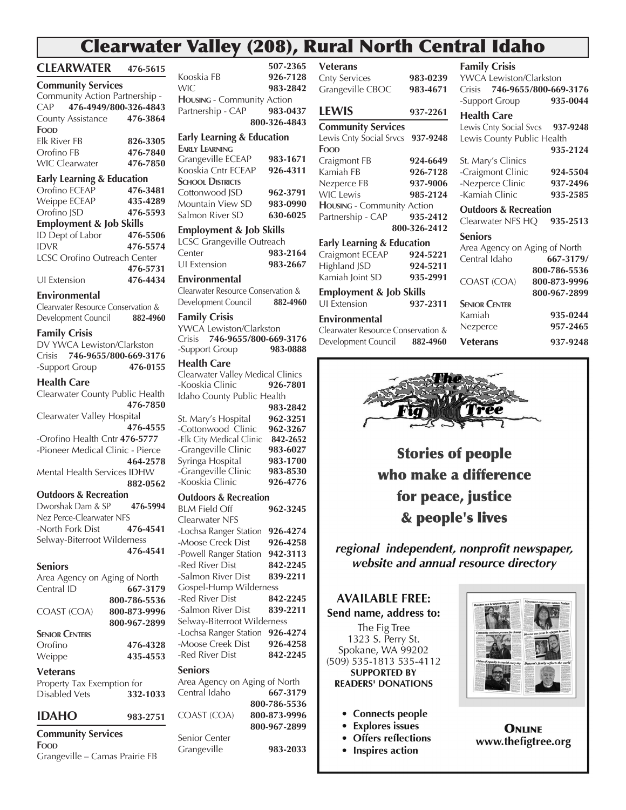# Clearwater Valley (208), Rural North Central Idaho

|                                             | $\overline{\phantom{a}}$ u   |
|---------------------------------------------|------------------------------|
| CLEARWATER 476-5615                         |                              |
| <b>Community Services</b>                   |                              |
| Community Action Partnership -              |                              |
| CAP                                         | 476-4949/800-326-4843        |
| County Assistance                           | 476-3864                     |
| Food                                        |                              |
| <b>Elk River FB</b>                         | 826-3305                     |
| Orofino FB                                  | 476-7840                     |
| <b>WIC Clearwater</b>                       | 476-7850                     |
| Early Learning & Education                  |                              |
| Orofino ECEAP                               | 476-3481                     |
| Weippe ECEAP                                | 435-4289                     |
| Orofino JSD                                 | 476-5593                     |
| <b>Employment &amp; Job Skills</b>          |                              |
| ID Dept of Labor                            | 476-5506                     |
| <b>IDVR</b>                                 | 476-5574                     |
| <b>LCSC Orofino Outreach Center</b>         |                              |
|                                             | 476-5731                     |
| UI Extension                                | 476-4434                     |
|                                             |                              |
| Environmental                               |                              |
| Clearwater Resource Conservation &          |                              |
| Development Council                         | 882-4960                     |
| <b>Family Crisis</b>                        |                              |
| DV YWCA Lewiston/Clarkston                  |                              |
| Crisis                                      | 746-9655/800-669-3176        |
| -Support Group                              | 476-0155                     |
| <b>Health Care</b>                          |                              |
| Clearwater County Public Health             |                              |
|                                             | 476-7850                     |
| Clearwater Valley Hospital                  |                              |
|                                             | 476-4555                     |
| -Orofino Health Cntr 476-5777               |                              |
| -Pioneer Medical Clinic - Pierce            |                              |
|                                             | 464-2578                     |
| Mental Health Services IDHW                 |                              |
|                                             | 882-0562                     |
| <b>Outdoors &amp; Recreation</b>            |                              |
| Dworshak Dam & SP                           | 476-5994                     |
| Nez Perce-Clearwater NFS                    |                              |
| -North Fork Dist                            | 476-4541                     |
| Selway-Biterroot Wilderness                 |                              |
|                                             | 476-4541                     |
| <b>Seniors</b>                              |                              |
|                                             |                              |
| Area Agency on Aging of North<br>Central ID | 667-3179                     |
|                                             |                              |
|                                             | 800-786-5536                 |
| COAST (COA)                                 | 800-873-9996<br>800-967-2899 |
|                                             |                              |
| <b>SENIOR CENTERS</b>                       |                              |
| Orofino                                     | 476-4328                     |
| Weippe                                      | 435-4553                     |
| Veterans                                    |                              |
| Property Tax Exemption for                  |                              |
| <b>Disabled Vets</b>                        | 332-1033                     |
|                                             |                              |
| IDAHO                                       | 983-2751                     |
| <b>Community Services</b>                   |                              |

**Food**

Grangeville – Camas Prairie FB

**Employment & Job Skills**  LCSC Grangeville Outreach Center **983-2164** UI Extension **983-2667 Environmental** Clearwater Resource Conservation & Development Council **882-4960 Family Crisis** YWCA Lewiston/Clarkston Crisis **746-9655/800-669-3176** -Support Group **Health Care** Clearwater Valley Medical Clinics<br>-Kooskia Clinic **926-7801** -Kooskia Clinic **926-7801**  Idaho County Public Health **983-2842** St. Mary's Hospital **962-3251** -Cottonwood Clinic **962-3267** -Elk City Medical Clinic **842-2652** -Grangeville Clinic **983-6027** Syringa Hospital **983-1700** -Grangeville Clinic **983-8530** -Kooskia Clinic **926-4776 Outdoors & Recreation** BLM Field Off **962-3245** Clearwater NFS -Lochsa Ranger Station **926-4274** -Moose Creek Dist **926-4258** -Powell Ranger Station **942-3113** -Red River Dist **842-2245** -Salmon River Dist **839-2211** Gospel-Hump Wilderness -Red River Dist **842-2245** -Salmon River Dist **839-2211** Selway-Biterroot Wilderness -Lochsa Ranger Station **926-4274** -Moose Creek Dist **926-4258** -Red River Dist **842-2245 Seniors** Area Agency on Aging of North Central Idaho **667-3179 800-786-5536** COAST (COA) **800-873-9996 800-967-2899**  Senior Center Grangeville **983-2033**

**Housing** - Community Action

**Early Learning & Education** 

**Early Learning**

**SCHOOL DISTRICTS** 

#### **507-2365** Kooskia FB **926-7128** WIC **983-2842** Partnership - CAP **983-0437 800-326-4843** Grangeville ECEAP **983-1671** Kooskia Cntr ECEAP **926-4311** Cottonwood JSD **962-3791** Mountain View SD **983-0990** Salmon River SD **630-6025 Veterans** Cnty Services **983-0239** Grangeville CBOC **983-4671 LEWIS 937-2261 Community Services**  Lewis Cnty Social Srvcs **937-9248 Food** Craigmont FB **924-6649** Kamiah FB **926-7128** Nezperce FB **937-9006** WIC Lewis **985-2124 Housing** - Community Action Partnership - CAP **935-2412 800-326-2412 Early Learning & Education**  Craigmont ECEAP **924-5221** Highland JSD **924-5211** Kamiah Joint SD **935-2991 Employment & Job Skills**  UI Extension **937-2311 Environmental** Clearwater Resource Conservation & Development Council **882-4960 Family Crisis** YWCA Lewiston/Clarkston Crisis **746-9655/800-669-3176 Seniors**





**Stories of people** who make a difference for peace, justice & people's lives

regional independent, nonprofit newspaper, website and annual resource directory

# **AVAILABLE FREE:** Send name, address to:

The Fig Tree 1323 S. Perry St. Spokane, WA 99202 (509) 535-1813 535-4112 **SUPPORTED BY READERS' DONATIONS** 

- Connects people
- **Explores issues**  $\bullet$
- **Offers reflections**  $\bullet$
- Inspires action



**ONLINE** www.thefigtree.org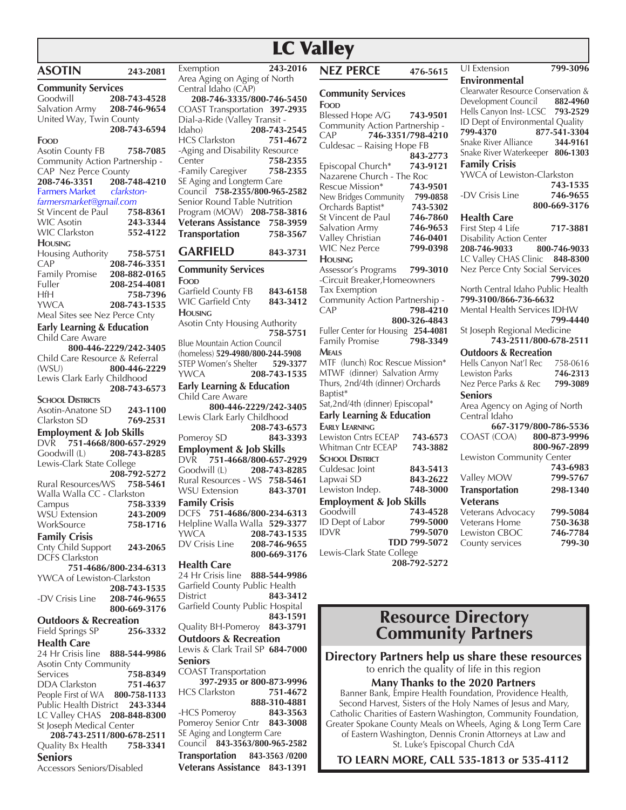# LC Valley

| <b>ASOTIN</b>                                                         | 243-2081                  | Exemption                                                      | 243-2016     |
|-----------------------------------------------------------------------|---------------------------|----------------------------------------------------------------|--------------|
|                                                                       |                           | Area Aging on Aging of North                                   |              |
| <b>Community Services</b>                                             |                           | Central Idaho (CAP)                                            |              |
| Goodwill<br>Salvation Army 208-746-9654                               | 208-743-4528              | 208-746-3335/800-746-5450                                      |              |
| United Way, Twin County                                               |                           | COAST Transportation 397-2935<br>Dial-a-Ride (Valley Transit - |              |
|                                                                       | 208-743-6594              | Idaho)<br>208-743-2545                                         |              |
| FOOD                                                                  |                           | HCS Clarkston                                                  | 751-4672     |
| Asotin County FB 758-7085                                             |                           | -Aging and Disability Resource                                 |              |
| Community Action Partnership -                                        |                           | Center                                                         | 758-2355     |
| CAP Nez Perce County                                                  |                           | -Family Caregiver 758-2355                                     |              |
| 208-746-3351 208-748-4210                                             |                           | SE Aging and Longterm Care                                     |              |
| Farmers Market clarkston-                                             |                           | Council 758-2355/800-965-2582                                  |              |
| farmersmarket@gmail.com                                               |                           | Senior Round Table Nutrition                                   |              |
| St Vincent de Paul 758-8361<br>WIC Asotin 243-3344                    |                           | Program (MOW) 208-758-3816                                     |              |
|                                                                       |                           | Veterans Assistance 758-3959                                   |              |
| WIC Clarkston 552-4122                                                |                           | <b>Transportation</b>                                          | 758-3567     |
| <b>HOUSING</b>                                                        |                           | <b>GARFIELD</b>                                                | 843-3731     |
| Housing Authority 758-5751                                            |                           |                                                                |              |
| CAP<br>حمد 2 <b>08-746-3351</b><br>Family Promise <b>208-882-0165</b> | 208-746-3351              | <b>Community Services</b>                                      |              |
| Fuller                                                                | 208-254-4081              | FOOD                                                           |              |
| HfH                                                                   | 758-7396                  | Garfield County FB 843-6158                                    |              |
| YWCA                                                                  | 208-743-1535              | WIC Garfield Cnty                                              | 843-3412     |
| Meal Sites see Nez Perce Cnty                                         |                           | <b>HOUSING</b>                                                 |              |
| <b>Early Learning &amp; Education</b>                                 |                           | Asotin Cnty Housing Authority                                  |              |
| Child Care Aware                                                      |                           |                                                                | 758-5751     |
|                                                                       | 800-446-2229/242-3405     | Blue Mountain Action Council                                   |              |
| Child Care Resource & Referral                                        |                           | (homeless) 529-4980/800-244-5908                               |              |
| (WSU)                                                                 | 800-446-2229              | STEP Women's Shelter 529-3377                                  |              |
| Lewis Clark Early Childhood                                           |                           | YWCA                                                           | 208-743-1535 |
|                                                                       | 208-743-6573              | <b>Early Learning &amp; Education</b>                          |              |
| <b>SCHOOL DISTRICTS</b>                                               |                           | Child Care Aware<br>800-446-2229/242-3405                      |              |
| Asotin-Anatone SD 243-1100<br>Clarkston SD 769-2531                   |                           | Lewis Clark Early Childhood                                    |              |
| Clarkston SD                                                          | 769-2531                  |                                                                | 208-743-6573 |
| <b>Employment &amp; Job Skills</b>                                    |                           | Pomeroy SD                                                     | 843-3393     |
| DVR 751-4668/800-657-2929                                             |                           | <b>Employment &amp; Job Skills</b>                             |              |
| Goodwill (L) 208-743-8285                                             |                           | DVR 751-4668/800-657-2929                                      |              |
| Lewis-Clark State College                                             | 208-792-5272              | Goodwill (L) 208-743-8285                                      |              |
| Rural Resources/WS 758-5461                                           |                           | Rural Resources - WS 758-5461                                  |              |
| Walla Walla CC - Clarkston                                            |                           | <b>WSU Extension</b>                                           | 843-3701     |
| Campus                                                                | 758-3339                  | <b>Family Crisis</b>                                           |              |
| WSU Extension 243-2009                                                |                           | DCFS 751-4686/800-234-6313                                     |              |
| WorkSource                                                            | 758-1716                  | Helpline Walla Walla 529-3377                                  |              |
| <b>Family Crisis</b>                                                  |                           | YWCA                                                           | 208-743-1535 |
| Cnty Child Support                                                    | 243-2065                  | DV Crisis Line                                                 | 208-746-9655 |
| <b>DCFS Clarkston</b>                                                 |                           |                                                                | 800-669-3176 |
|                                                                       | 751-4686/800-234-6313     | <b>Health Care</b>                                             |              |
| YWCA of Lewiston-Clarkston                                            |                           | 24 Hr Crisis line 888-544-9986                                 |              |
|                                                                       | 208-743-1535              | Garfield County Public Health<br>District                      | 843-3412     |
| -DV Crisis Line                                                       | 208-746-9655              | Garfield County Public Hospital                                |              |
|                                                                       | 800-669-3176              |                                                                | 843-1591     |
| <b>Outdoors &amp; Recreation</b>                                      |                           | Quality BH-Pomeroy 843-3791                                    |              |
| Field Springs SP                                                      | 256-3332                  | <b>Outdoors &amp; Recreation</b>                               |              |
| <b>Health Care</b>                                                    |                           | Lewis & Clark Trail SP 684-7000                                |              |
| 24 Hr Crisis line 888-544-9986                                        |                           | <b>Seniors</b>                                                 |              |
| Asotin Cnty Community                                                 |                           | <b>COAST Transportation</b>                                    |              |
| Services<br>DDA Clarkston 751-4637                                    | 758-8349                  | 397-2935 or 800-873-9996                                       |              |
| People First of WA 800-758-1133                                       |                           | HCS Clarkston                                                  | 751-4672     |
| Public Health District 243-3344                                       |                           |                                                                | 888-310-4881 |
| LC Valley CHAS 208-848-8300                                           |                           | -HCS Pomeroy                                                   | 843-3563     |
| St Joseph Medical Center                                              |                           | Pomeroy Senior Cntr 843-3008                                   |              |
|                                                                       | 208-743-2511/800-678-2511 | SE Aging and Longterm Care                                     |              |
| Quality Bx Health 758-3341                                            |                           | Council 843-3563/800-965-2582                                  |              |
| <b>Seniors</b>                                                        |                           | Transportation 843-3563 /0200                                  |              |

Accessors Seniors/Disabled

| 208-746-3335/800-746-5450                                                               |              |
|-----------------------------------------------------------------------------------------|--------------|
| COAST Transportation 397-2935                                                           |              |
| Dial-a-Ride (Valley Transit -                                                           |              |
| (CONTRACTORS)<br>HCS Clarkston<br>- Aging                                               | 208-743-2545 |
| -Aging and Disability Resource                                                          | 751-4672     |
| Center                                                                                  | 758-2355     |
| 30-2000<br>Family Caregiver 758-2355                                                    |              |
|                                                                                         |              |
| SE Aging and Longterm Care<br>Council 758-2355/800-965-2582                             |              |
| Senior Round Table Nutrition                                                            |              |
| Program (MOW) 208-758-3816                                                              |              |
| Veterans Assistance 758-3959                                                            |              |
| Transportation                                                                          | 758-3567     |
| <b>GARFIELD</b>                                                                         | 843-3731     |
| <b>Community Services</b>                                                               |              |
| Food                                                                                    |              |
| Garfield County FB                                                                      | 843-6158     |
| WIC Garfield Cnty                                                                       | 843-3412     |
| <b>HOUSING</b><br>Asotin Cnty Housing Authority                                         |              |
|                                                                                         | 758-5751     |
| <b>Blue Mountain Action Council</b>                                                     |              |
| (homeless) 529-4980/800-244-5908                                                        |              |
| STEP Women's Shelter 529-3377<br><b>YWCA</b>                                            | 208-743-1535 |
| Early Learning & Education                                                              |              |
| Child Care Aware                                                                        |              |
| 800-446-2229/242-3405                                                                   |              |
| Lewis Clark Early Childhood                                                             |              |
|                                                                                         | 208-743-6573 |
| Pomeroy SD                                                                              | 843-3393     |
| <b>Employment &amp; Job Skills</b>                                                      |              |
| DVR 751-4668/800-657-2929                                                               |              |
|                                                                                         |              |
| Coodwill (L)<br>208-743-8285<br>Rural Resources - WS 758-5461<br>WSU Extension 843-3701 |              |
| <b>Family Crisis</b>                                                                    |              |
| DCFS 751-4686/800-234-6313                                                              |              |
| Helpline Walla Walla 529-3377                                                           |              |
| YWCA                                                                                    | 208-743-1535 |
| DV Crisis Line                                                                          | 208-746-9655 |
|                                                                                         | 800-669-3176 |
| <b>Health Care</b>                                                                      |              |
| 24 Hr Crisis line 888-544-9986                                                          |              |
| Garfield County Public Health                                                           |              |
| <b>District</b><br>Garfield County Public Hospital                                      | 843-3412     |
|                                                                                         | 843-1591     |
| Quality BH-Pomeroy 843-3791                                                             |              |
| <b>Outdoors &amp; Recreation</b>                                                        |              |
| Lewis & Clark Trail SP 684-7000                                                         |              |
| Seniors                                                                                 |              |
| <b>COAST Transportation</b>                                                             |              |
| 397-2935 or 800-873-9996                                                                |              |
| <b>HCS Clarkston</b>                                                                    | 751-4672     |
|                                                                                         | 888-310-4881 |
| -HCS Pomeroy                                                                            | 843-3563     |
| Pomeroy Senior Cntr 843-3008<br>SE Aging and Longterm Care                              |              |
| Council 843-3563/800-965-2582                                                           |              |

**Veterans Assistance 843-1391**

| <b>NEZ PERCE</b> |  |  | 476-5615 |
|------------------|--|--|----------|
|                  |  |  |          |

#### **Community Services Food**

Blessed Hope A/G **743-9501** Community Action Partnership -<br>CAP 746-3351/798-4210 CAP **746-3351/798-4210** Culdesac – Raising Hope FB **843-2773** Episcopal Church\* **743-9121** Nazarene Church - The Roc Rescue Mission\* **743-9501** New Bridges Community **799-0858** Orchards Baptist\* **743-5302** St Vincent de Paul **746-7860** Salvation Army **746-9653** Valley Christian **746-0401** WIC Nez Perce **799-0398 Housing** Assessor's Programs **799-3010** -Circuit Breaker,Homeowners Tax Exemption Community Action Partnership - CAP **798-4210 800-326-4843** Fuller Center for Housing **254-4081 Family Promise Meals** MTF (lunch) Roc Rescue Mission\* MTWF (dinner) Salvation Army Thurs, 2nd/4th (dinner) Orchards Baptist\* Sat,2nd/4th (dinner) Episcopal\* **Early Learning & Education Early Learning** Lewiston Cntrs ECEAP **743-6573** Whitman Cntr ECEAP **743-3882 SCHOOL DISTRICT** Culdesac Joint **843-5413** Lapwai SD **843-2622** Lewiston Indep. **Employment & Job Skills**  Goodwill **743-4528** ID Dept of Labor **799-5000** IDVR **799-5070 TDD 799-5072** Lewis-Clark State College

**208-792-5272** 

| <b>Environmental</b>                                             |              |
|------------------------------------------------------------------|--------------|
| Clearwater Resource Conservation &                               |              |
| Development Council 882-4960<br>Hells Canyon Inst- LCSC 793-2529 |              |
|                                                                  |              |
|                                                                  |              |
|                                                                  |              |
| Snake River Alliance 344-9161                                    |              |
| Snake River Waterkeeper 806-1303                                 |              |
| <b>Family Crisis</b>                                             |              |
| YWCA of Lewiston-Clarkston                                       |              |
|                                                                  | 743-1535     |
| -DV Crisis Line                                                  | 746-9655     |
|                                                                  | 800-669-3176 |
| <b>Health Care</b>                                               |              |
| First Step 4 Life                                                | 717-3881     |
| Disability Action Center                                         |              |
| 208-746-9033                                                     | 800-746-9033 |
| LC Valley CHAS Clinic 848-8300                                   |              |
| Nez Perce Cnty Social Services                                   |              |
|                                                                  | 799-3020     |
| North Central Idaho Public Health                                |              |
| 799-3100/866-736-6632                                            |              |
| Mental Health Services IDHW                                      |              |
|                                                                  | 799-4440     |
| St Joseph Regional Medicine<br>743-2511/800-678-2511             |              |
|                                                                  |              |
| <b>Outdoors &amp; Recreation</b>                                 |              |
| Hells Canyon Nat'l Rec                                           | 758-0616     |
| Lewiston Parks                                                   | 746-2313     |
| Nez Perce Parks & Rec                                            | 799-3089     |
| Seniors                                                          |              |
| Area Agency on Aging of North                                    |              |
| Central Idaho                                                    |              |
| 667-3179/800-786-5536                                            |              |
| COAST (COA) 800-873-9996                                         |              |
|                                                                  | 800-967-2899 |
| Lewiston Community Center                                        |              |
|                                                                  | 743-6983     |
| Valley MOW                                                       | 799-5767     |
| <b>Transportation</b>                                            | 298-1340     |
| <b>Veterans</b>                                                  |              |
| Veterans Advocacy                                                | 799-5084     |
| Veterans Home                                                    | 750-3638     |
| Lewiston CBOC                                                    | 746-7784     |

County services **799-30**

UI Extension **799-3096**

# **Resource Directory Community Partners**

**Directory Partners help us share these resources** to enrich the quality of life in this region

**Many Thanks to the 2020 Partners**

Banner Bank, Empire Health Foundation, Providence Health, Second Harvest, Sisters of the Holy Names of Jesus and Mary, Catholic Charities of Eastern Washington, Community Foundation, Greater Spokane County Meals on Wheels, Aging & Long Term Care of Eastern Washington, Dennis Cronin Attorneys at Law and St. Luke's Episcopal Church CdA

**TO LEARN MORE, CALL 535-1813 or 535-4112**